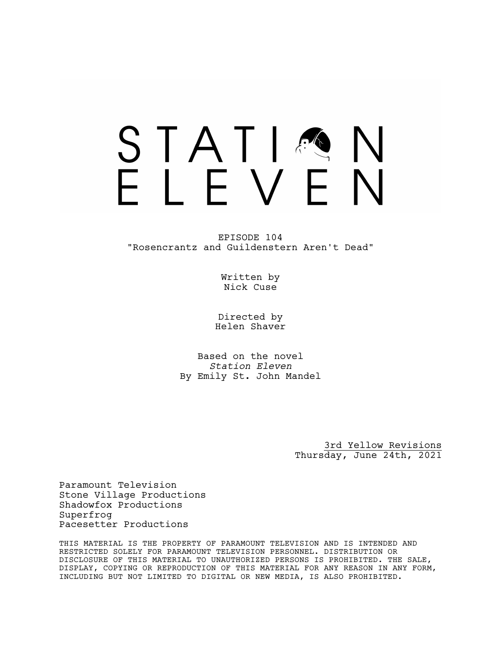# STATIA FIFVFN

EPISODE 104 "Rosencrantz and Guildenstern Aren't Dead"

> Written by Nick Cuse

Directed by Helen Shaver

Based on the novel *Station Eleven* By Emily St. John Mandel

> 3rd Yellow Revisions Thursday, June 24th, 2021

Paramount Television Stone Village Productions Shadowfox Productions Superfrog Pacesetter Productions

THIS MATERIAL IS THE PROPERTY OF PARAMOUNT TELEVISION AND IS INTENDED AND RESTRICTED SOLELY FOR PARAMOUNT TELEVISION PERSONNEL. DISTRIBUTION OR DISCLOSURE OF THIS MATERIAL TO UNAUTHORIZED PERSONS IS PROHIBITED. THE SALE, DISPLAY, COPYING OR REPRODUCTION OF THIS MATERIAL FOR ANY REASON IN ANY FORM, INCLUDING BUT NOT LIMITED TO DIGITAL OR NEW MEDIA, IS ALSO PROHIBITED.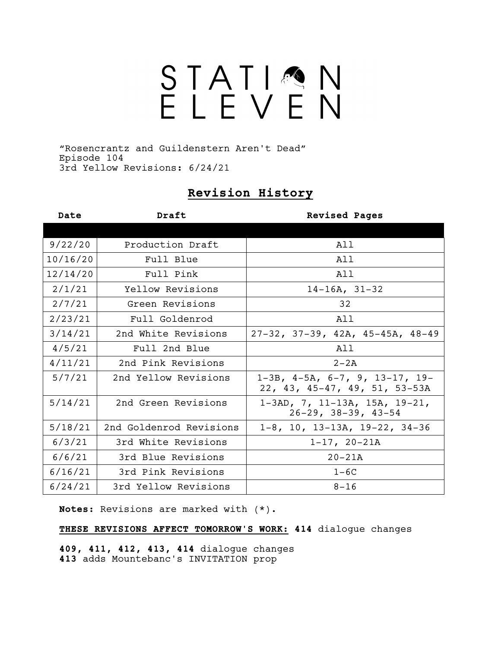# STATIQN<br>ELEVEN

"Rosencrantz and Guildenstern Aren't Dead" Episode 104 3rd Yellow Revisions: 6/24/21

# **Revision History**

| Date     | Draft                   | <b>Revised Pages</b>                                                             |
|----------|-------------------------|----------------------------------------------------------------------------------|
|          |                         |                                                                                  |
| 9/22/20  | Production Draft        | All                                                                              |
| 10/16/20 | Full Blue               | All                                                                              |
| 12/14/20 | Full Pink               | All                                                                              |
| 2/1/21   | Yellow Revisions        | $14-16A, 31-32$                                                                  |
| 2/7/21   | Green Revisions         | 32                                                                               |
| 2/23/21  | Full Goldenrod          | All                                                                              |
| 3/14/21  | 2nd White Revisions     | $27-32$ , $37-39$ , $42A$ , $45-45A$ , $48-49$                                   |
| 4/5/21   | Full 2nd Blue           | All                                                                              |
| 4/11/21  | 2nd Pink Revisions      | $2 - 2A$                                                                         |
| 5/7/21   | 2nd Yellow Revisions    | $1-3B$ , $4-5A$ , $6-7$ , $9$ , $13-17$ , $19-$<br>22, 43, 45-47, 49, 51, 53-53A |
| 5/14/21  | 2nd Green Revisions     | $1-3AD, 7, 11-13A, 15A, 19-21,$<br>$26-29$ , $38-39$ , $43-54$                   |
| 5/18/21  | 2nd Goldenrod Revisions | $1-8$ , 10, 13-13A, 19-22, 34-36                                                 |
| 6/3/21   | 3rd White Revisions     | $1-17, 20-21A$                                                                   |
| 6/6/21   | 3rd Blue Revisions      | $20 - 21A$                                                                       |
| 6/16/21  | 3rd Pink Revisions      | $1-6C$                                                                           |
| 6/24/21  | 3rd Yellow Revisions    | $8 - 16$                                                                         |

**Notes:** Revisions are marked with (\*).

**THESE REVISIONS AFFECT TOMORROW'S WORK: 414** dialogue changes

**409, 411, 412, 413, 414** dialogue changes **413** adds Mountebanc's INVITATION prop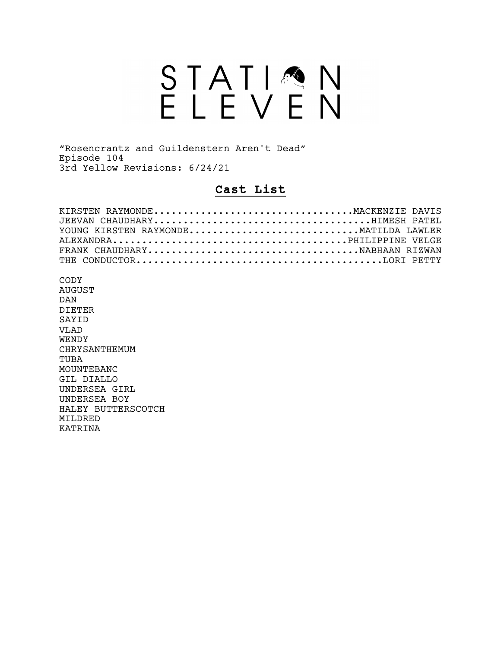# STATIQN<br>ELEVEN

"Rosencrantz and Guildenstern Aren't Dead" Episode 104 3rd Yellow Revisions: 6/24/21

# **Cast List**

| KIRSTEN RAYMONDEMACKENZIE DAVIS       |  |
|---------------------------------------|--|
|                                       |  |
| YOUNG KIRSTEN RAYMONDE MATILDA LAWLER |  |
|                                       |  |
|                                       |  |
|                                       |  |

CODY AUGUST DAN DIETER SAYID VLAD WENDY CHRYSANTHEMUM TUBA MOUNTEBANC GIL DIALLO UNDERSEA GIRL UNDERSEA BOY HALEY BUTTERSCOTCH MILDRED KATRINA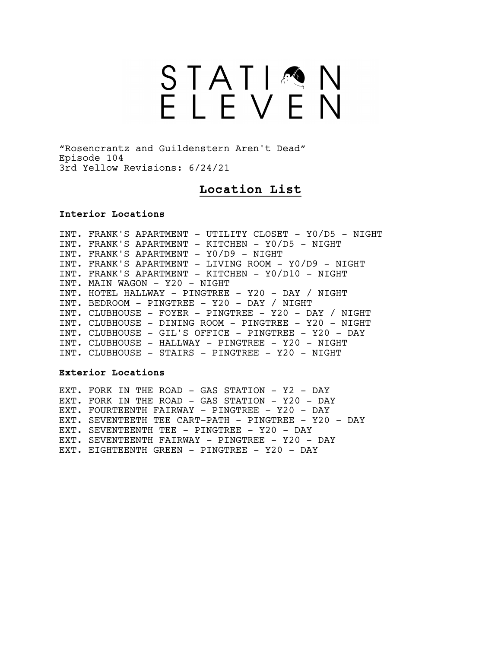# STATIMN<br>ELEVEN

"Rosencrantz and Guildenstern Aren't Dead" Episode 104 3rd Yellow Revisions: 6/24/21

# **Location List**

#### **Interior Locations**

INT. FRANK'S APARTMENT - UTILITY CLOSET - Y0/D5 - NIGHT INT. FRANK'S APARTMENT - KITCHEN - Y0/D5 - NIGHT INT. FRANK'S APARTMENT - Y0/D9 - NIGHT INT. FRANK'S APARTMENT - LIVING ROOM - Y0/D9 - NIGHT INT. FRANK'S APARTMENT - KITCHEN - Y0/D10 - NIGHT INT. MAIN WAGON - Y20 - NIGHT INT. HOTEL HALLWAY - PINGTREE - Y20 - DAY / NIGHT INT. BEDROOM - PINGTREE - Y20 - DAY / NIGHT INT. CLUBHOUSE - FOYER - PINGTREE - Y20 - DAY / NIGHT INT. CLUBHOUSE - DINING ROOM - PINGTREE - Y20 - NIGHT INT. CLUBHOUSE - GIL'S OFFICE - PINGTREE - Y20 - DAY INT. CLUBHOUSE - HALLWAY - PINGTREE - Y20 - NIGHT INT. CLUBHOUSE - STAIRS - PINGTREE - Y20 - NIGHT

#### **Exterior Locations**

EXT. FORK IN THE ROAD - GAS STATION - Y2 - DAY EXT. FORK IN THE ROAD - GAS STATION - Y20 - DAY EXT. FOURTEENTH FAIRWAY - PINGTREE - Y20 - DAY EXT. SEVENTEETH TEE CART-PATH - PINGTREE - Y20 - DAY EXT. SEVENTEENTH TEE - PINGTREE - Y20 - DAY EXT. SEVENTEENTH FAIRWAY - PINGTREE - Y20 - DAY EXT. EIGHTEENTH GREEN - PINGTREE - Y20 - DAY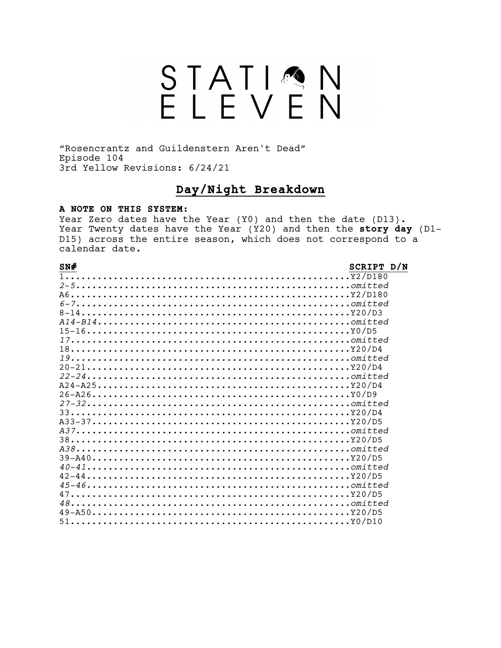# STATIQN<br>ELEVEN

"Rosencrantz and Guildenstern Aren't Dead" Episode 104 3rd Yellow Revisions: 6/24/21

# Day/Night Breakdown

#### A NOTE ON THIS SYSTEM:

Year Zero dates have the Year (Y0) and then the date (D13). Year Twenty dates have the Year (Y20) and then the story day (D1-D15) across the entire season, which does not correspond to a calendar date.

#### $SN#$

#### SCRIPT D/N

| $2-5$ |  |
|-------|--|
|       |  |
| $6-7$ |  |
|       |  |
|       |  |
|       |  |
|       |  |
|       |  |
|       |  |
|       |  |
|       |  |
|       |  |
|       |  |
|       |  |
|       |  |
|       |  |
|       |  |
|       |  |
|       |  |
|       |  |
|       |  |
|       |  |
|       |  |
|       |  |
| $48$  |  |
|       |  |
| $51$  |  |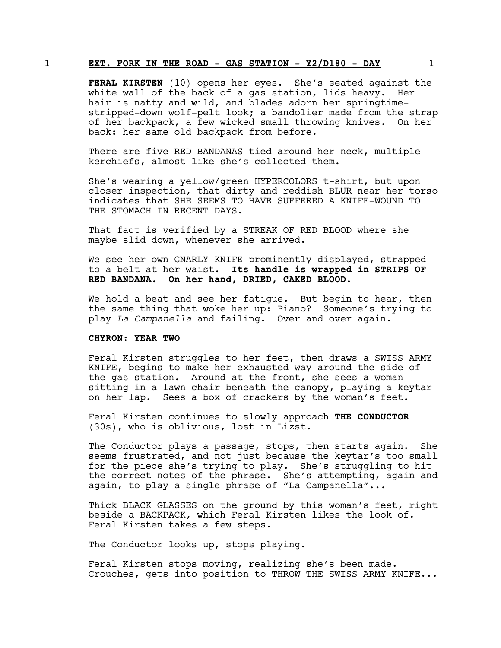#### 1 **EXT. FORK IN THE ROAD - GAS STATION - Y2/D180 - DAY** 1

**FERAL KIRSTEN** (10) opens her eyes. She's seated against the white wall of the back of a gas station, lids heavy. Her hair is natty and wild, and blades adorn her springtimestripped-down wolf-pelt look; a bandolier made from the strap of her backpack, a few wicked small throwing knives. On her back: her same old backpack from before.

There are five RED BANDANAS tied around her neck, multiple kerchiefs, almost like she's collected them.

She's wearing a yellow/green HYPERCOLORS t-shirt, but upon closer inspection, that dirty and reddish BLUR near her torso indicates that SHE SEEMS TO HAVE SUFFERED A KNIFE-WOUND TO THE STOMACH IN RECENT DAYS.

That fact is verified by a STREAK OF RED BLOOD where she maybe slid down, whenever she arrived.

We see her own GNARLY KNIFE prominently displayed, strapped to a belt at her waist. **Its handle is wrapped in STRIPS OF RED BANDANA. On her hand, DRIED, CAKED BLOOD.**

We hold a beat and see her fatique. But begin to hear, then the same thing that woke her up: Piano? Someone's trying to play *La Campanella* and failing. Over and over again.

#### **CHYRON: YEAR TWO**

Feral Kirsten struggles to her feet, then draws a SWISS ARMY KNIFE, begins to make her exhausted way around the side of the gas station. Around at the front, she sees a woman sitting in a lawn chair beneath the canopy, playing a keytar on her lap. Sees a box of crackers by the woman's feet.

Feral Kirsten continues to slowly approach **THE CONDUCTOR** (30s), who is oblivious, lost in Lizst.

The Conductor plays a passage, stops, then starts again. She seems frustrated, and not just because the keytar's too small for the piece she's trying to play. She's struggling to hit the correct notes of the phrase. She's attempting, again and again, to play a single phrase of "La Campanella"...

Thick BLACK GLASSES on the ground by this woman's feet, right beside a BACKPACK, which Feral Kirsten likes the look of. Feral Kirsten takes a few steps.

The Conductor looks up, stops playing.

Feral Kirsten stops moving, realizing she's been made. Crouches, gets into position to THROW THE SWISS ARMY KNIFE...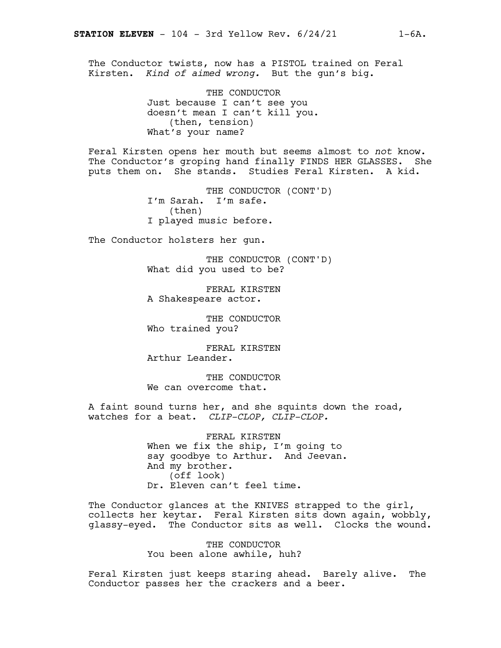The Conductor twists, now has a PISTOL trained on Feral Kirsten. *Kind of aimed wrong.* But the gun's big.

> THE CONDUCTOR Just because I can't see you doesn't mean I can't kill you. (then, tension) What's your name?

Feral Kirsten opens her mouth but seems almost to *not* know. The Conductor's groping hand finally FINDS HER GLASSES. She puts them on. She stands. Studies Feral Kirsten. A kid.

> THE CONDUCTOR (CONT'D) I'm Sarah. I'm safe. (then) I played music before.

The Conductor holsters her gun.

THE CONDUCTOR (CONT'D) What did you used to be?

FERAL KIRSTEN A Shakespeare actor.

THE CONDUCTOR Who trained you?

FERAL KIRSTEN Arthur Leander.

THE CONDUCTOR We can overcome that.

A faint sound turns her, and she squints down the road, watches for a beat. *CLIP-CLOP, CLIP-CLOP.*

> FERAL KIRSTEN When we fix the ship, I'm going to say goodbye to Arthur. And Jeevan. And my brother. (off look) Dr. Eleven can't feel time.

The Conductor glances at the KNIVES strapped to the girl, collects her keytar. Feral Kirsten sits down again, wobbly, glassy-eyed. The Conductor sits as well. Clocks the wound.

> THE CONDUCTOR You been alone awhile, huh?

Feral Kirsten just keeps staring ahead. Barely alive. The Conductor passes her the crackers and a beer.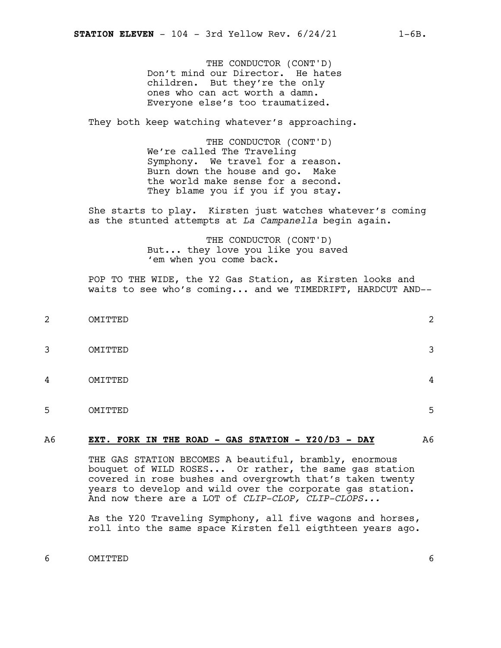THE CONDUCTOR (CONT'D) Don't mind our Director. He hates children. But they're the only ones who can act worth a damn. Everyone else's too traumatized.

They both keep watching whatever's approaching.

THE CONDUCTOR (CONT'D) We're called The Traveling Symphony. We travel for a reason. Burn down the house and go. Make the world make sense for a second. They blame you if you if you stay.

She starts to play. Kirsten just watches whatever's coming as the stunted attempts at *La Campanella* begin again.

> THE CONDUCTOR (CONT'D) But... they love you like you saved 'em when you come back.

POP TO THE WIDE, the Y2 Gas Station, as Kirsten looks and waits to see who's coming... and we TIMEDRIFT, HARDCUT AND--

 OMITTED 2 OMITTED 3 OMITTED 4 OMITTED 5

#### A6 **EXT. FORK IN THE ROAD - GAS STATION - Y20/D3 - DAY** A6

THE GAS STATION BECOMES A beautiful, brambly, enormous bouquet of WILD ROSES... Or rather, the same gas station covered in rose bushes and overgrowth that's taken twenty years to develop and wild over the corporate gas station. And now there are a LOT of *CLIP-CLOP, CLIP-CLOPS...*

As the Y20 Traveling Symphony, all five wagons and horses, roll into the same space Kirsten fell eigthteen years ago.

6 OMITTED 6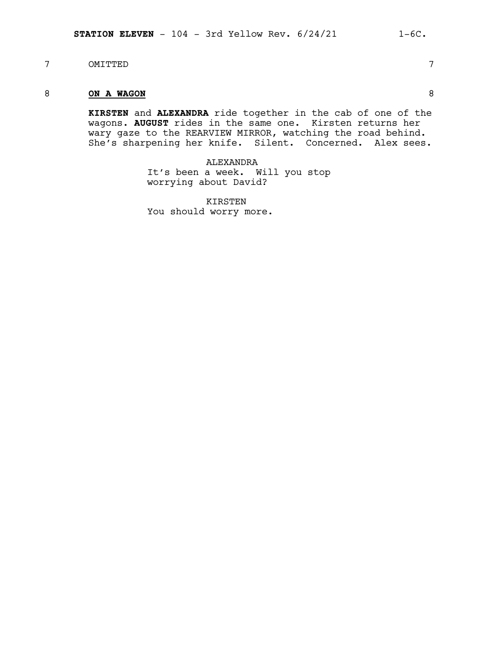7 OMITTED 7

# 8 **ON A WAGON** 8

**KIRSTEN** and **ALEXANDRA** ride together in the cab of one of the wagons. **AUGUST** rides in the same one. Kirsten returns her wary gaze to the REARVIEW MIRROR, watching the road behind. She's sharpening her knife. Silent. Concerned. Alex sees.

> ALEXANDRA It's been a week. Will you stop worrying about David?

KIRSTEN You should worry more.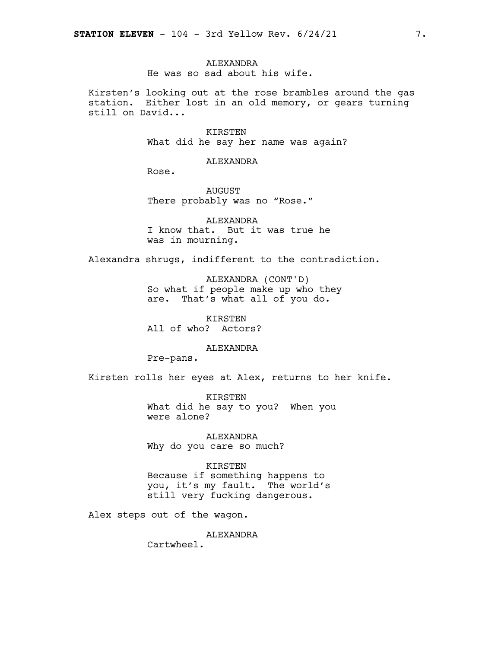#### **ALEXANDRA** He was so sad about his wife.

Kirsten's looking out at the rose brambles around the gas station. Either lost in an old memory, or gears turning still on David...

> KIRSTEN What did he say her name was again?

> > ALEXANDRA

Rose.

AUGUST There probably was no "Rose."

ALEXANDRA I know that. But it was true he was in mourning.

Alexandra shrugs, indifferent to the contradiction.

ALEXANDRA (CONT'D) So what if people make up who they are. That's what all of you do.

KIRSTEN All of who? Actors?

ALEXANDRA

Pre-pans.

Kirsten rolls her eyes at Alex, returns to her knife.

KIRSTEN What did he say to you? When you were alone?

ALEXANDRA Why do you care so much?

KIRSTEN

Because if something happens to you, it's my fault. The world's still very fucking dangerous.

Alex steps out of the wagon.

ALEXANDRA

Cartwheel.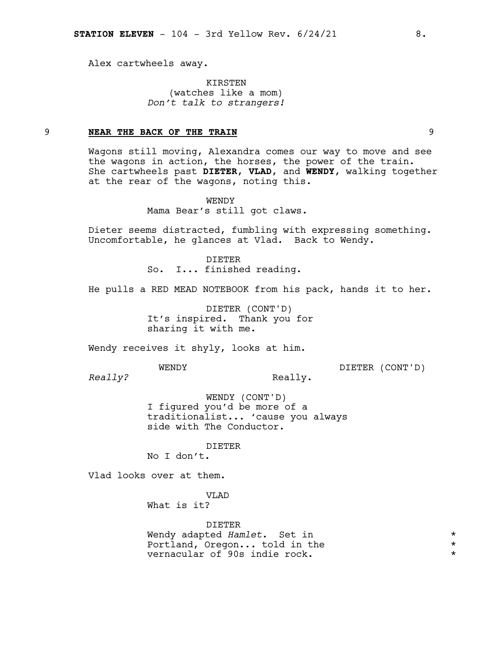Alex cartwheels away.

KIRSTEN (watches like a mom) *Don't talk to strangers!*

#### 9 **NEAR THE BACK OF THE TRAIN** 9

Wagons still moving, Alexandra comes our way to move and see the wagons in action, the horses, the power of the train. She cartwheels past **DIETER**, **VLAD**, and **WENDY**, walking together at the rear of the wagons, noting this.

> WENDY Mama Bear's still got claws.

Dieter seems distracted, fumbling with expressing something. Uncomfortable, he glances at Vlad. Back to Wendy.

> DIETER So. I... finished reading.

He pulls a RED MEAD NOTEBOOK from his pack, hands it to her.

DIETER (CONT'D) It's inspired. Thank you for sharing it with me.

Wendy receives it shyly, looks at him.

WENDY

DIETER (CONT'D)

*Really?*

Really.

WENDY (CONT'D) I figured you'd be more of a traditionalist... 'cause you always side with The Conductor.

DIETER

No I don't.

Vlad looks over at them.

VLAD

What is it?

DIETER Wendy adapted *Hamlet.* Set in \* Portland, Oregon... told in the  $\star$ <br>vernacular of 90s indie rock. vernacular of 90s indie rock. \*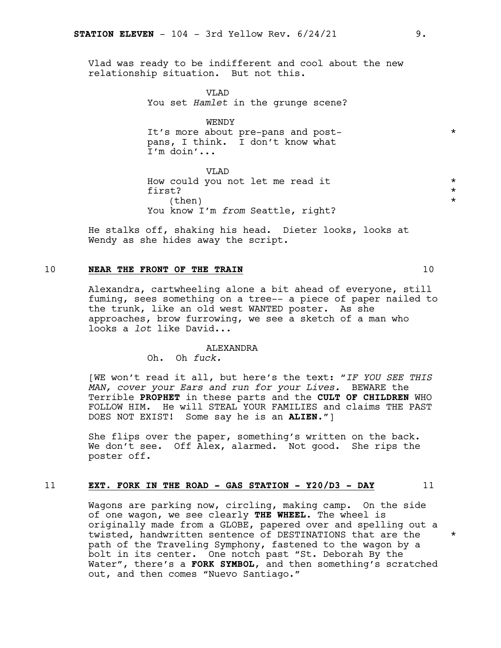Vlad was ready to be indifferent and cool about the new relationship situation. But not this.

> VLAD You set *Hamlet* in the grunge scene?

WENDY It's more about pre-pans and postpans, I think. I don't know what I'm doin'...

VLAD How could you not let me read it \* first?  $\star$  $\times$  (then)  $*$ You know I'm *from* Seattle, right?

He stalks off, shaking his head. Dieter looks, looks at Wendy as she hides away the script.

#### 10 **NEAR THE FRONT OF THE TRAIN** 10

Alexandra, cartwheeling alone a bit ahead of everyone, still fuming, sees something on a tree-- a piece of paper nailed to the trunk, like an old west WANTED poster. As she approaches, brow furrowing, we see a sketch of a man who looks a *lot* like David...

#### **ALEXANDRA**

Oh. Oh *fuck.*

[WE won't read it all, but here's the text: "*IF YOU SEE THIS MAN, cover your Ears and run for your Lives.* BEWARE the Terrible **PROPHET** in these parts and the **CULT OF CHILDREN** WHO FOLLOW HIM. He will STEAL YOUR FAMILIES and claims THE PAST DOES NOT EXIST! Some say he is an **ALIEN**."]

She flips over the paper, something's written on the back. We don't see. Off Alex, alarmed. Not good. She rips the poster off.

#### 11 **EXT. FORK IN THE ROAD - GAS STATION - Y20/D3 - DAY** 11

Wagons are parking now, circling, making camp. On the side of one wagon, we see clearly **THE WHEEL**. The wheel is originally made from a GLOBE, papered over and spelling out a twisted, handwritten sentence of DESTINATIONS that are the \* path of the Traveling Symphony, fastened to the wagon by a bolt in its center. One notch past "St. Deborah By the Water", there's a **FORK SYMBOL**, and then something's scratched out, and then comes "Nuevo Santiago."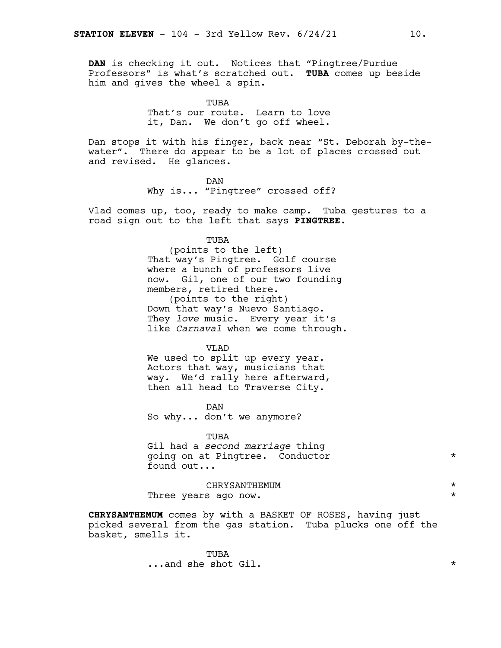**DAN** is checking it out. Notices that "Pingtree/Purdue Professors" is what's scratched out. **TUBA** comes up beside him and gives the wheel a spin.

> TUBA That's our route. Learn to love it, Dan. We don't go off wheel.

Dan stops it with his finger, back near "St. Deborah by-thewater". There do appear to be a lot of places crossed out and revised. He glances.

> DAN Why is... "Pingtree" crossed off?

Vlad comes up, too, ready to make camp. Tuba gestures to a road sign out to the left that says **PINGTREE**.

TUBA

(points to the left) That way's Pingtree. Golf course where a bunch of professors live now. Gil, one of our two founding members, retired there. (points to the right) Down that way's Nuevo Santiago.

They *love* music. Every year it's like *Carnaval* when we come through.

VT.AD

We used to split up every year. Actors that way, musicians that way. We'd rally here afterward, then all head to Traverse City.

DAN So why... don't we anymore?

TUBA

Gil had a *second marriage* thing going on at Pingtree. Conductor \* found out...

CHRYSANTHEMUM \* Three years ago now.  $\star$ 

**CHRYSANTHEMUM** comes by with a BASKET OF ROSES, having just picked several from the gas station. Tuba plucks one off the basket, smells it.

> TUBA ...and she shot Gil. \*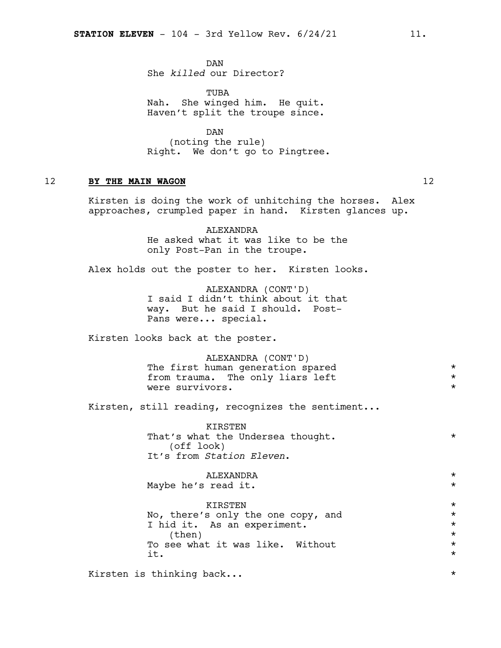DAN She *killed* our Director?

TUBA Nah. She winged him. He quit. Haven't split the troupe since.

DAN (noting the rule) Right. We don't go to Pingtree.

# 12 **BY THE MAIN WAGON** 12

Kirsten is doing the work of unhitching the horses. Alex approaches, crumpled paper in hand. Kirsten glances up.

> ALEXANDRA He asked what it was like to be the only Post-Pan in the troupe.

Alex holds out the poster to her. Kirsten looks.

ALEXANDRA (CONT'D) I said I didn't think about it that way. But he said I should. Post-Pans were... special.

Kirsten looks back at the poster.

ALEXANDRA (CONT'D) The first human generation spared<br>from trauma such the only liars left  $\star$ from trauma. The only liars left were survivors.  $\star$ 

Kirsten, still reading, recognizes the sentiment...

KIRSTEN That's what the Undersea thought. \* \* (off look) It's from *Station Eleven*.

ALEXANDRA \* Maybe he's read it. KIRSTEN \* No, there's only the one copy, and  $*$ I hid it. As an experiment.  $\star$ (then)  $\star$ <br>see what it was like. Without  $\star$ To see what it was like. Without \*  $\pm$   $\star$ 

Kirsten is thinking back...  $\star$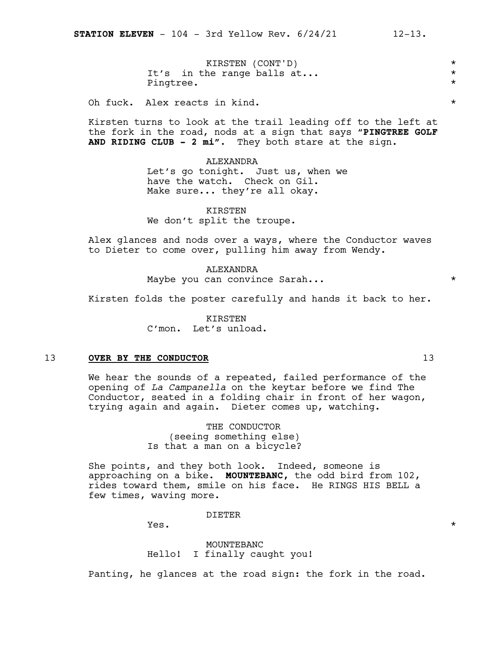KIRSTEN (CONT'D) \*<br>he range balls at... It's in the range balls  $at...$ Pingtree.  $\star$ 

Oh fuck. Alex reacts in kind.  $\star$ 

Kirsten turns to look at the trail leading off to the left at the fork in the road, nods at a sign that says "**PINGTREE GOLF AND RIDING CLUB - 2 mi".** They both stare at the sign.

ALEXANDRA

Let's go tonight. Just us, when we have the watch. Check on Gil. Make sure... they're all okay.

KIRSTEN We don't split the troupe.

Alex glances and nods over a ways, where the Conductor waves to Dieter to come over, pulling him away from Wendy.

> ALEXANDRA Maybe you can convince Sarah... \*

Kirsten folds the poster carefully and hands it back to her.

KIRSTEN C'mon. Let's unload.

#### 13 **OVER BY THE CONDUCTOR** 13

We hear the sounds of a repeated, failed performance of the opening of *La Campanella* on the keytar before we find The Conductor, seated in a folding chair in front of her wagon, trying again and again. Dieter comes up, watching.

> THE CONDUCTOR (seeing something else) Is that a man on a bicycle?

She points, and they both look. Indeed, someone is approaching on a bike. **MOUNTEBANC,** the odd bird from 102, rides toward them, smile on his face. He RINGS HIS BELL a few times, waving more.

DIETER

 $Yes.$ 

MOUNTEBANC Hello! I finally caught you!

Panting, he glances at the road sign: the fork in the road.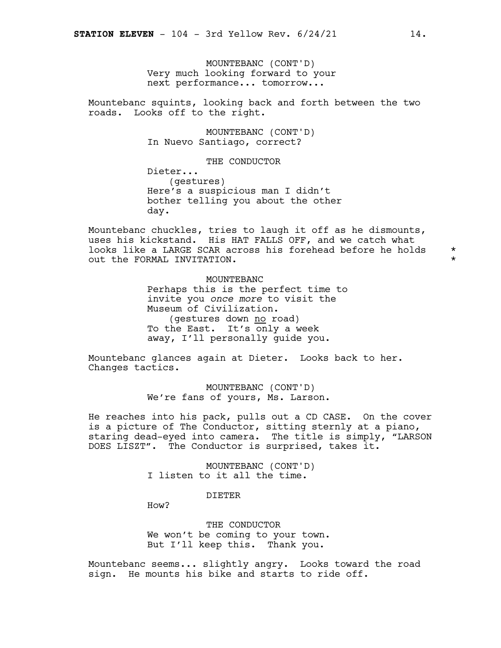MOUNTEBANC (CONT'D) Very much looking forward to your next performance... tomorrow...

Mountebanc squints, looking back and forth between the two roads. Looks off to the right.

> MOUNTEBANC (CONT'D) In Nuevo Santiago, correct?

> > THE CONDUCTOR

Dieter... (gestures) Here's a suspicious man I didn't bother telling you about the other day.

Mountebanc chuckles, tries to laugh it off as he dismounts, uses his kickstand. His HAT FALLS OFF, and we catch what looks like a LARGE SCAR across his forehead before he holds \* out the FORMAL INVITATION. \*

MOUNTEBANC Perhaps this is the perfect time to invite you *once more* to visit the Museum of Civilization. (gestures down no road) To the East. It's only a week away, I'll personally guide you.

Mountebanc glances again at Dieter. Looks back to her. Changes tactics.

> MOUNTEBANC (CONT'D) We're fans of yours, Ms. Larson.

He reaches into his pack, pulls out a CD CASE. On the cover is a picture of The Conductor, sitting sternly at a piano, staring dead-eyed into camera. The title is simply, "LARSON DOES LISZT". The Conductor is surprised, takes it.

> MOUNTEBANC (CONT'D) I listen to it all the time.

> > DIETER

How?

THE CONDUCTOR We won't be coming to your town. But I'll keep this. Thank you.

Mountebanc seems... slightly angry. Looks toward the road sign. He mounts his bike and starts to ride off.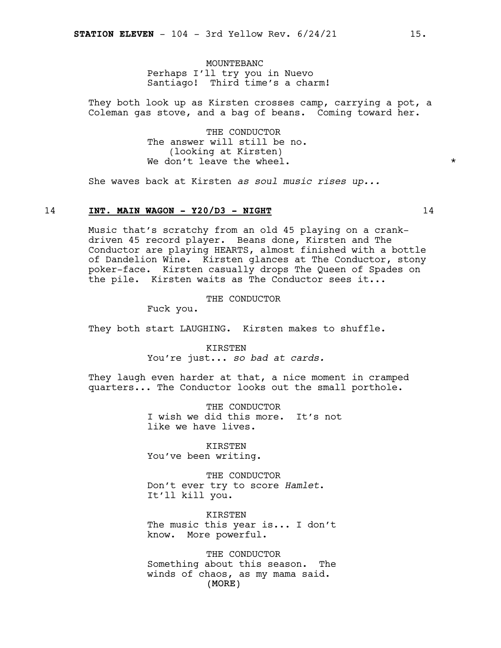MOUNTEBANC Perhaps I'll try you in Nuevo Santiago! Third time's a charm!

They both look up as Kirsten crosses camp, carrying a pot, a Coleman gas stove, and a bag of beans. Coming toward her.

> THE CONDUCTOR The answer will still be no. (looking at Kirsten) We don't leave the wheel.  $\star$

She waves back at Kirsten *as soul music rises up...*

#### 14 **INT. MAIN WAGON - Y20/D3 - NIGHT** 14

Music that's scratchy from an old 45 playing on a crankdriven 45 record player. Beans done, Kirsten and The Conductor are playing HEARTS, almost finished with a bottle of Dandelion Wine. Kirsten glances at The Conductor, stony poker-face. Kirsten casually drops The Queen of Spades on the pile. Kirsten waits as The Conductor sees it...

THE CONDUCTOR

Fuck you.

They both start LAUGHING. Kirsten makes to shuffle.

KIRSTEN You're just... *so bad at cards.*

They laugh even harder at that, a nice moment in cramped quarters... The Conductor looks out the small porthole.

> THE CONDUCTOR I wish we did this more. It's not like we have lives.

KIRSTEN You've been writing.

THE CONDUCTOR Don't ever try to score *Hamlet*. It'll kill you.

**KIRSTEN** The music this year is... I don't know. More powerful.

(MORE) THE CONDUCTOR Something about this season. The winds of chaos, as my mama said.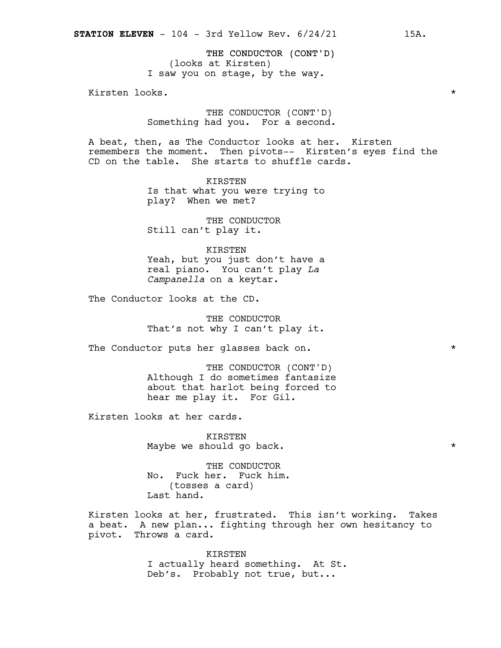THE CONDUCTOR (CONT'D) (looks at Kirsten) I saw you on stage, by the way.

Kirsten looks. \*

THE CONDUCTOR (CONT'D) Something had you. For a second.

A beat, then, as The Conductor looks at her. Kirsten remembers the moment. Then pivots-- Kirsten's eyes find the CD on the table. She starts to shuffle cards.

> KIRSTEN Is that what you were trying to play? When we met?

THE CONDUCTOR Still can't play it.

KIRSTEN Yeah, but you just don't have a real piano. You can't play *La Campanella* on a keytar.

The Conductor looks at the CD.

THE CONDUCTOR That's not why I can't play it.

The Conductor puts her glasses back on.  $*$ 

THE CONDUCTOR (CONT'D) Although I do sometimes fantasize about that harlot being forced to hear me play it. For Gil.

Kirsten looks at her cards.

KIRSTEN Maybe we should go back.  $\star$ 

THE CONDUCTOR No. Fuck her. Fuck him. (tosses a card) Last hand.

Kirsten looks at her, frustrated. This isn't working. Takes a beat. A new plan... fighting through her own hesitancy to pivot. Throws a card.

> KIRSTEN I actually heard something. At St. Deb's. Probably not true, but...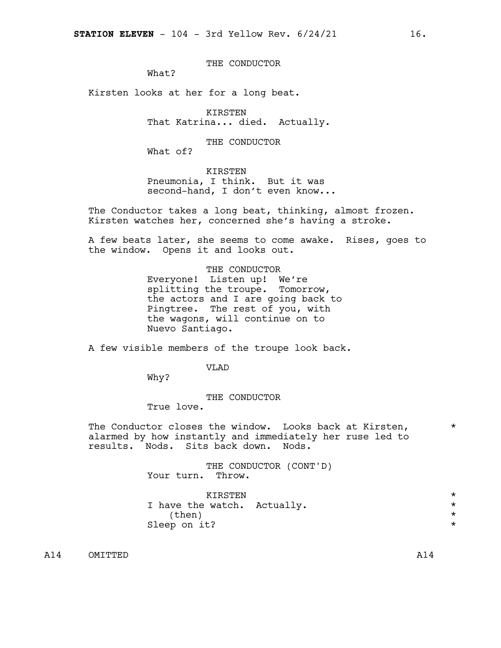THE CONDUCTOR

What?

Kirsten looks at her for a long beat.

KIRSTEN That Katrina... died. Actually.

THE CONDUCTOR

What of?

KIRSTEN Pneumonia, I think. But it was second-hand, I don't even know...

The Conductor takes a long beat, thinking, almost frozen. Kirsten watches her, concerned she's having a stroke.

A few beats later, she seems to come awake. Rises, goes to the window. Opens it and looks out.

THE CONDUCTOR

Everyone! Listen up! We're splitting the troupe. Tomorrow, the actors and I are going back to Pingtree. The rest of you, with the wagons, will continue on to Nuevo Santiago.

A few visible members of the troupe look back.

V<sub>L</sub>AD

Why?

THE CONDUCTOR

True love.

The Conductor closes the window. Looks back at Kirsten,  $*$ alarmed by how instantly and immediately her ruse led to results. Nods. Sits back down. Nods.

> THE CONDUCTOR (CONT'D) Your turn. Throw.

| KTRSTEN                     |         |
|-----------------------------|---------|
| I have the watch. Actually. | $\star$ |
| (then)                      |         |
| Sleep on it?                |         |

A14 OMITTED A14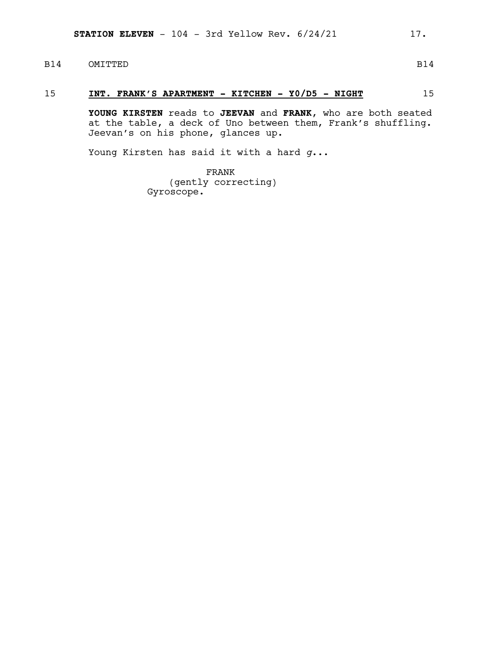# B14 OMITTED B14

# 15 **INT. FRANK'S APARTMENT - KITCHEN - Y0/D5 - NIGHT** 15

**YOUNG KIRSTEN** reads to **JEEVAN** and **FRANK**, who are both seated at the table, a deck of Uno between them, Frank's shuffling. Jeevan's on his phone, glances up.

Young Kirsten has said it with a hard *g*...

FRANK (gently correcting) Gyroscope.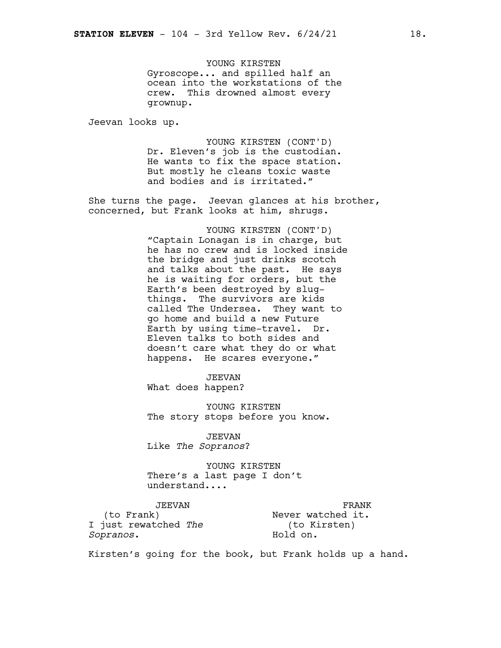YOUNG KIRSTEN Gyroscope... and spilled half an ocean into the workstations of the crew. This drowned almost every grownup.

Jeevan looks up.

YOUNG KIRSTEN (CONT'D) Dr. Eleven's job is the custodian. He wants to fix the space station. But mostly he cleans toxic waste and bodies and is irritated."

She turns the page. Jeevan glances at his brother, concerned, but Frank looks at him, shrugs.

> YOUNG KIRSTEN (CONT'D) "Captain Lonagan is in charge, but he has no crew and is locked inside the bridge and just drinks scotch and talks about the past. He says he is waiting for orders, but the Earth's been destroyed by slugthings. The survivors are kids called The Undersea. They want to go home and build a new Future Earth by using time-travel. Dr. Eleven talks to both sides and doesn't care what they do or what happens. He scares everyone."

JEEVAN What does happen?

YOUNG KIRSTEN The story stops before you know.

JEEVAN Like *The Sopranos*?

YOUNG KIRSTEN There's a last page I don't understand....

JEEVAN (to Frank) I just rewatched *The Sopranos*.

FRANK Never watched it. (to Kirsten) Hold on.

Kirsten's going for the book, but Frank holds up a hand.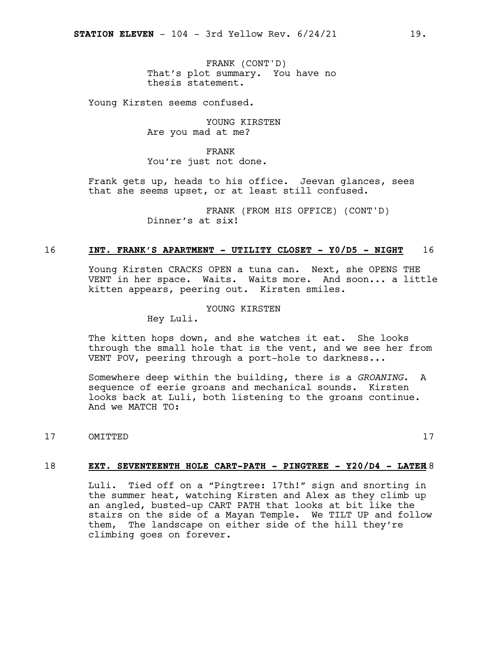FRANK (CONT'D) That's plot summary. You have no thesis statement.

Young Kirsten seems confused.

YOUNG KIRSTEN Are you mad at me?

FRANK You're just not done.

Frank gets up, heads to his office. Jeevan glances, sees that she seems upset, or at least still confused.

> FRANK (FROM HIS OFFICE) (CONT'D) Dinner's at six!

# 16 **INT. FRANK'S APARTMENT - UTILITY CLOSET - Y0/D5 - NIGHT** 16

Young Kirsten CRACKS OPEN a tuna can. Next, she OPENS THE VENT in her space. Waits. Waits more. And soon... a little kitten appears, peering out. Kirsten smiles.

#### YOUNG KIRSTEN

Hey Luli.

The kitten hops down, and she watches it eat. She looks through the small hole that is the vent, and we see her from VENT POV, peering through a port-hole to darkness...

Somewhere deep within the building, there is a *GROANING*. A sequence of eerie groans and mechanical sounds. Kirsten looks back at Luli, both listening to the groans continue. And we MATCH TO:

17 OMITTED 17

#### 18 **EXT. SEVENTEENTH HOLE CART-PATH - PINGTREE - Y20/D4 - LATER**18

Luli. Tied off on a "Pingtree: 17th!" sign and snorting in the summer heat, watching Kirsten and Alex as they climb up an angled, busted-up CART PATH that looks at bit like the stairs on the side of a Mayan Temple. We TILT UP and follow them, The landscape on either side of the hill they're climbing goes on forever.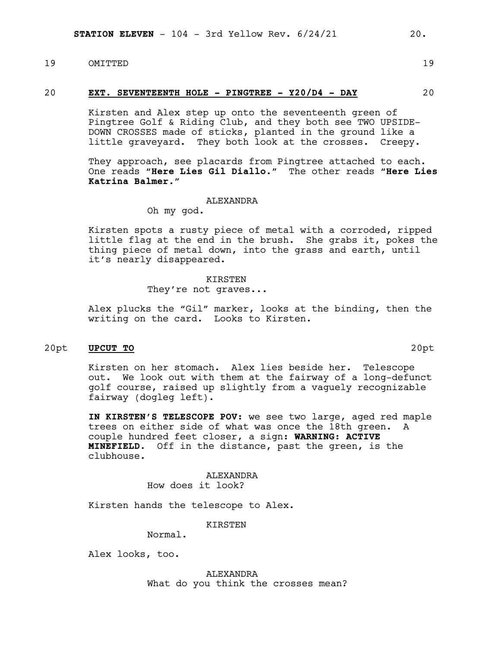# 19 OMITTED 19

#### 20 **EXT. SEVENTEENTH HOLE - PINGTREE - Y20/D4 - DAY** 20

Kirsten and Alex step up onto the seventeenth green of Pingtree Golf & Riding Club, and they both see TWO UPSIDE-DOWN CROSSES made of sticks, planted in the ground like a little graveyard. They both look at the crosses. Creepy.

They approach, see placards from Pingtree attached to each. One reads "**Here Lies Gil Diallo**." The other reads "**Here Lies Katrina Balmer**."

#### ALEXANDRA

Oh my god.

Kirsten spots a rusty piece of metal with a corroded, ripped little flag at the end in the brush. She grabs it, pokes the thing piece of metal down, into the grass and earth, until it's nearly disappeared.

#### KIRSTEN

They're not graves...

Alex plucks the "Gil" marker, looks at the binding, then the writing on the card. Looks to Kirsten.

#### 20pt **UPCUT TO** 20pt

Kirsten on her stomach. Alex lies beside her. Telescope out. We look out with them at the fairway of a long-defunct golf course, raised up slightly from a vaguely recognizable fairway (dogleg left).

**IN KIRSTEN'S TELESCOPE POV:** we see two large, aged red maple trees on either side of what was once the 18th green. A couple hundred feet closer, a sign: **WARNING: ACTIVE MINEFIELD**. Off in the distance, past the green, is the clubhouse.

> ALEXANDRA How does it look?

Kirsten hands the telescope to Alex.

KIRSTEN

Normal.

Alex looks, too.

ALEXANDRA What do you think the crosses mean?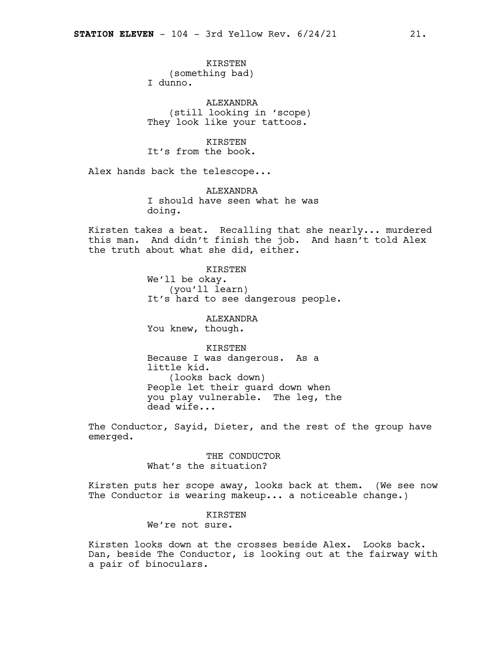KIRSTEN

(something bad)

I dunno.

ALEXANDRA (still looking in 'scope) They look like your tattoos.

**KIRSTEN** It's from the book.

Alex hands back the telescope...

ALEXANDRA I should have seen what he was doing.

Kirsten takes a beat. Recalling that she nearly... murdered this man. And didn't finish the job. And hasn't told Alex the truth about what she did, either.

> KIRSTEN We'll be okay. (you'll learn) It's hard to see dangerous people.

ALEXANDRA You knew, though.

KIRSTEN Because I was dangerous. As a little kid. (looks back down) People let their guard down when you play vulnerable. The leg, the dead wife...

The Conductor, Sayid, Dieter, and the rest of the group have emerged.

> THE CONDUCTOR What's the situation?

Kirsten puts her scope away, looks back at them. (We see now The Conductor is wearing makeup... a noticeable change.)

> KIRSTEN We're not sure.

Kirsten looks down at the crosses beside Alex. Looks back. Dan, beside The Conductor, is looking out at the fairway with a pair of binoculars.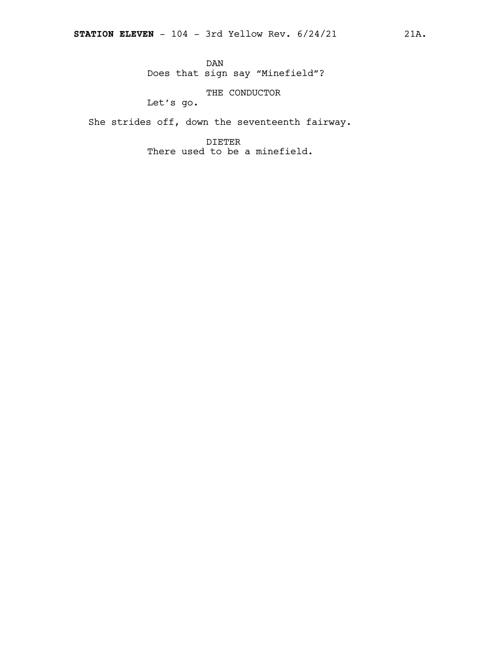THE CONDUCTOR

Let's go.

She strides off, down the seventeenth fairway.

DIETER There used to be a minefield.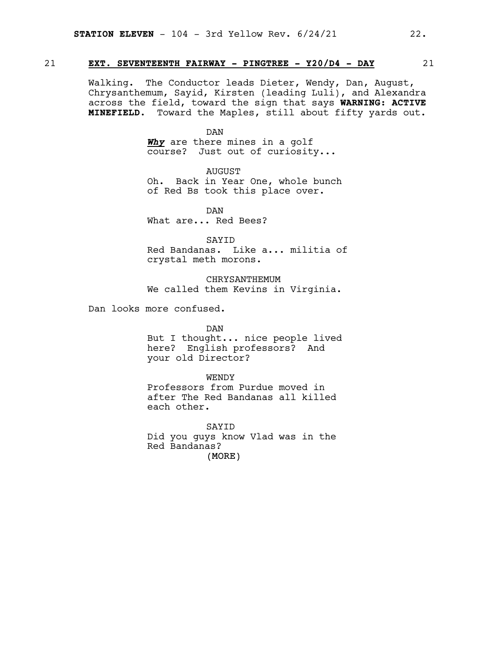#### 21 **EXT. SEVENTEENTH FAIRWAY - PINGTREE - Y20/D4 - DAY** 21

Walking. The Conductor leads Dieter, Wendy, Dan, August, Chrysanthemum, Sayid, Kirsten (leading Luli), and Alexandra across the field, toward the sign that says **WARNING: ACTIVE MINEFIELD.** Toward the Maples, still about fifty yards out.

#### DAN

*Why* are there mines in a golf course? Just out of curiosity...

AUGUST Oh. Back in Year One, whole bunch of Red Bs took this place over.

DAN What are... Red Bees?

SAYID

Red Bandanas. Like a... militia of crystal meth morons.

CHRYSANTHEMUM We called them Kevins in Virginia.

Dan looks more confused.

#### DAN

But I thought... nice people lived here? English professors? And your old Director?

#### WENDY

Professors from Purdue moved in after The Red Bandanas all killed each other.

(MORE) SAYID Did you guys know Vlad was in the Red Bandanas?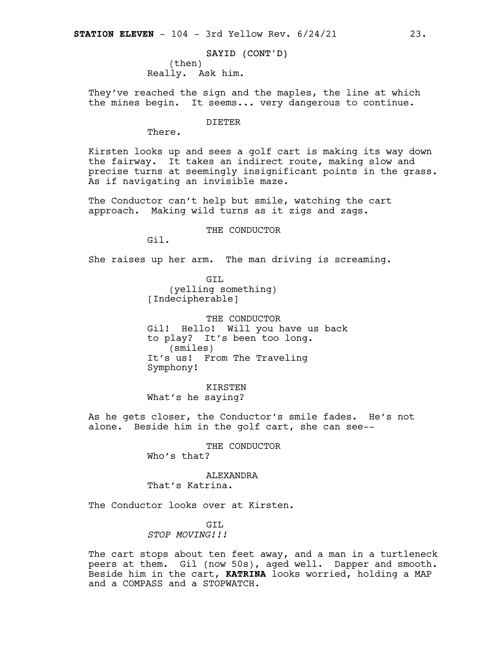SAYID (CONT'D) (then) Really. Ask him.

They've reached the sign and the maples, the line at which the mines begin. It seems... very dangerous to continue.

DIETER

There.

Kirsten looks up and sees a golf cart is making its way down the fairway. It takes an indirect route, making slow and precise turns at seemingly insignificant points in the grass. As if navigating an invisible maze.

The Conductor can't help but smile, watching the cart approach. Making wild turns as it zigs and zags.

THE CONDUCTOR

Gil.

She raises up her arm. The man driving is screaming.

GIL (yelling something) [Indecipherable]

THE CONDUCTOR Gil! Hello! Will you have us back to play? It's been too long. (smiles) It's us! From The Traveling Symphony!

KIRSTEN What's he saying?

As he gets closer, the Conductor's smile fades. He's not alone. Beside him in the golf cart, she can see--

> THE CONDUCTOR Who's that?

**ALEXANDRA** That's Katrina.

The Conductor looks over at Kirsten.

GTT. *STOP MOVING!!!*

The cart stops about ten feet away, and a man in a turtleneck peers at them. Gil (now 50s), aged well. Dapper and smooth. Beside him in the cart, **KATRINA** looks worried, holding a MAP and a COMPASS and a STOPWATCH.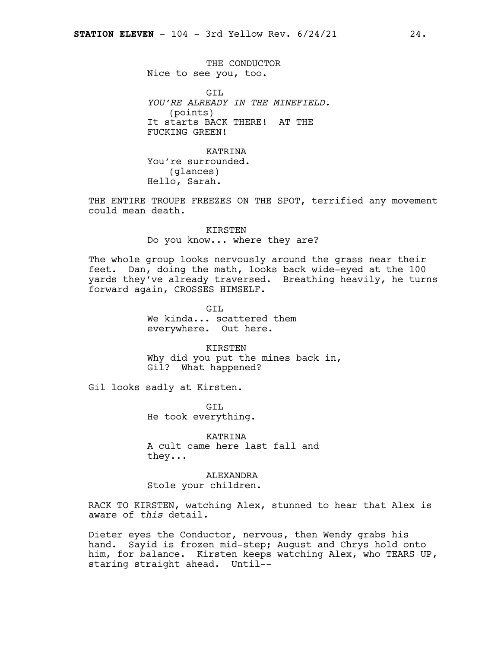THE CONDUCTOR Nice to see you, too.

GIL *YOU'RE ALREADY IN THE MINEFIELD.* (points) It starts BACK THERE! AT THE FUCKING GREEN!

KATRINA You're surrounded. (glances) Hello, Sarah.

THE ENTIRE TROUPE FREEZES ON THE SPOT, terrified any movement could mean death.

> KIRSTEN Do you know... where they are?

The whole group looks nervously around the grass near their feet. Dan, doing the math, looks back wide-eyed at the 100 yards they've already traversed. Breathing heavily, he turns forward again, CROSSES HIMSELF.

> GTT. We kinda... scattered them everywhere. Out here.

KIRSTEN Why did you put the mines back in, Gil? What happened?

Gil looks sadly at Kirsten.

GTT. He took everything.

KATRINA A cult came here last fall and they...

ALEXANDRA Stole your children.

RACK TO KIRSTEN, watching Alex, stunned to hear that Alex is aware of *this* detail*.*

Dieter eyes the Conductor, nervous, then Wendy grabs his hand. Sayid is frozen mid-step; August and Chrys hold onto him, for balance. Kirsten keeps watching Alex, who TEARS UP, staring straight ahead. Until--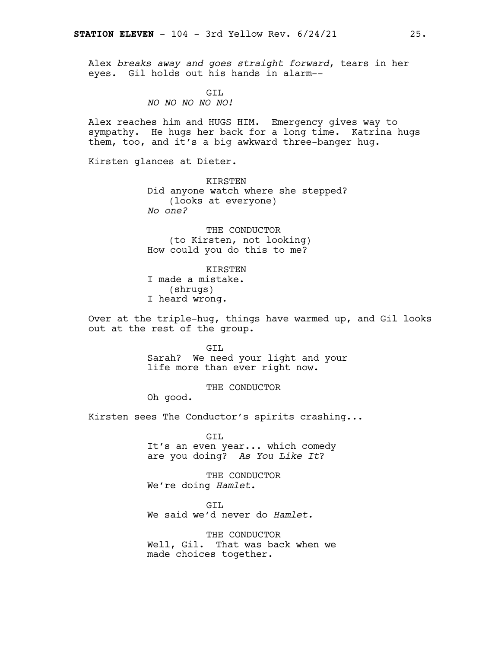Alex *breaks away and goes straight forward*, tears in her eyes. Gil holds out his hands in alarm--

#### GTT. *NO NO NO NO NO!*

Alex reaches him and HUGS HIM. Emergency gives way to sympathy. He hugs her back for a long time. Katrina hugs them, too, and it's a big awkward three-banger hug.

Kirsten glances at Dieter.

KIRSTEN Did anyone watch where she stepped? (looks at everyone) *No one?*

THE CONDUCTOR (to Kirsten, not looking) How could you do this to me?

KIRSTEN I made a mistake. (shrugs) I heard wrong.

Over at the triple-hug, things have warmed up, and Gil looks out at the rest of the group.

> GIL Sarah? We need your light and your life more than ever right now.

> > THE CONDUCTOR

Oh good.

Kirsten sees The Conductor's spirits crashing...

GIL It's an even year... which comedy are you doing? *As You Like It*?

THE CONDUCTOR We're doing *Hamlet*.

GIL We said we'd never do *Hamlet.*

THE CONDUCTOR Well, Gil. That was back when we made choices together.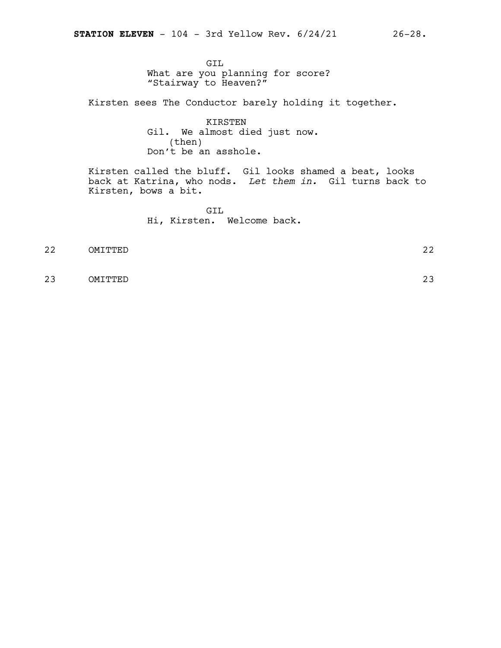GIL What are you planning for score? "Stairway to Heaven?"

Kirsten sees The Conductor barely holding it together.

KIRSTEN Gil. We almost died just now. (then) Don't be an asshole.

Kirsten called the bluff. Gil looks shamed a beat, looks back at Katrina, who nods. *Let them in.* Gil turns back to Kirsten, bows a bit.

> GIL Hi, Kirsten. Welcome back.

22 OMITTED 22

23 OMITTED 23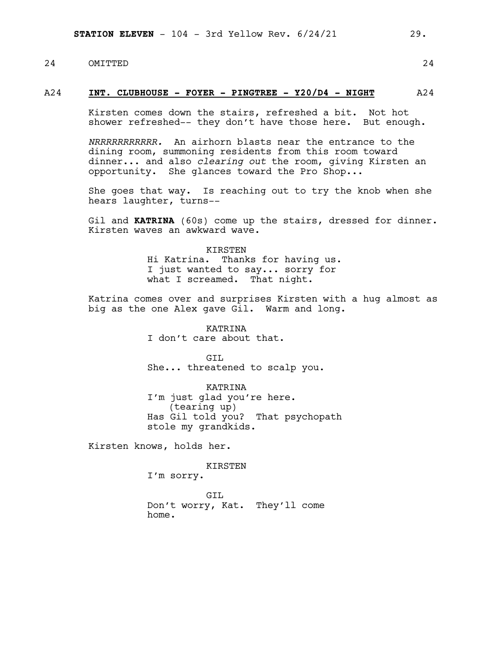# 24 OMITTED 24

#### A24 **INT. CLUBHOUSE - FOYER - PINGTREE - Y20/D4 - NIGHT** A24

Kirsten comes down the stairs, refreshed a bit. Not hot shower refreshed-- they don't have those here. But enough.

*NRRRRRRRRRRR.* An airhorn blasts near the entrance to the dining room, summoning residents from this room toward dinner... and also *clearing out* the room, giving Kirsten an opportunity. She glances toward the Pro Shop...

She goes that way. Is reaching out to try the knob when she hears laughter, turns--

Gil and **KATRINA** (60s) come up the stairs, dressed for dinner. Kirsten waves an awkward wave.

> KIRSTEN Hi Katrina. Thanks for having us. I just wanted to say... sorry for what I screamed. That night.

Katrina comes over and surprises Kirsten with a hug almost as big as the one Alex gave Gil. Warm and long.

> KATRINA I don't care about that.

GTT. She... threatened to scalp you.

KATRINA I'm just glad you're here. (tearing up) Has Gil told you? That psychopath stole my grandkids.

Kirsten knows, holds her.

KIRSTEN

I'm sorry.

GTT. Don't worry, Kat. They'll come home.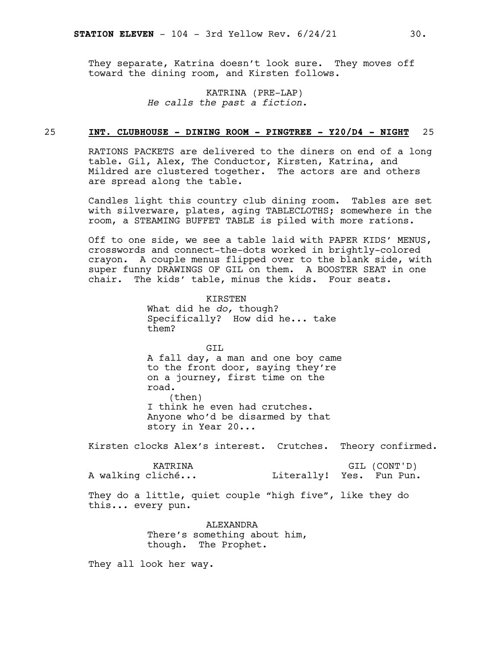They separate, Katrina doesn't look sure. They moves off toward the dining room, and Kirsten follows.

> KATRINA (PRE-LAP) *He calls the past a fiction.*

#### 25 **INT. CLUBHOUSE - DINING ROOM - PINGTREE - Y20/D4 - NIGHT** 25

RATIONS PACKETS are delivered to the diners on end of a long table. Gil, Alex, The Conductor, Kirsten, Katrina, and Mildred are clustered together. The actors are and others are spread along the table.

Candles light this country club dining room. Tables are set with silverware, plates, aging TABLECLOTHS; somewhere in the room, a STEAMING BUFFET TABLE is piled with more rations.

Off to one side, we see a table laid with PAPER KIDS' MENUS, crosswords and connect-the-dots worked in brightly-colored crayon. A couple menus flipped over to the blank side, with super funny DRAWINGS OF GIL on them. A BOOSTER SEAT in one chair. The kids' table, minus the kids. Four seats.

> **KIRSTEN** What did he *do,* though? Specifically? How did he... take them?

GTT. A fall day, a man and one boy came to the front door, saying they're on a journey, first time on the road. (then) I think he even had crutches. Anyone who'd be disarmed by that story in Year 20...

Kirsten clocks Alex's interest. Crutches. Theory confirmed.

KATRINA A walking cliché... GIL (CONT'D) Literally! Yes. Fun Pun.

They do a little, quiet couple "high five", like they do this... every pun.

> ALEXANDRA There's something about him, though. The Prophet.

They all look her way.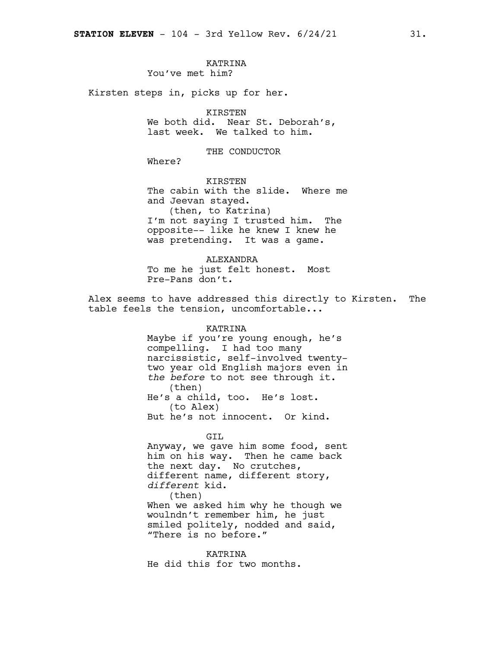#### KATRINA You've met him?

Kirsten steps in, picks up for her.

#### KIRSTEN

We both did. Near St. Deborah's, last week. We talked to him.

THE CONDUCTOR

Where?

KIRSTEN The cabin with the slide. Where me and Jeevan stayed. (then, to Katrina) I'm not saying I trusted him. The opposite-- like he knew I knew he was pretending. It was a game.

ALEXANDRA To me he just felt honest. Most Pre-Pans don't.

Alex seems to have addressed this directly to Kirsten. The table feels the tension, uncomfortable...

> KATRINA Maybe if you're young enough, he's compelling. I had too many narcissistic, self-involved twentytwo year old English majors even in *the before* to not see through it. (then) He's a child, too. He's lost. (to Alex) But he's not innocent. Or kind.

#### GIL

Anyway, we gave him some food, sent him on his way. Then he came back the next day. No crutches, different name, different story, *different* kid. (then) When we asked him why he though we woulndn't remember him, he just smiled politely, nodded and said, "There is no before."

KATRINA He did this for two months.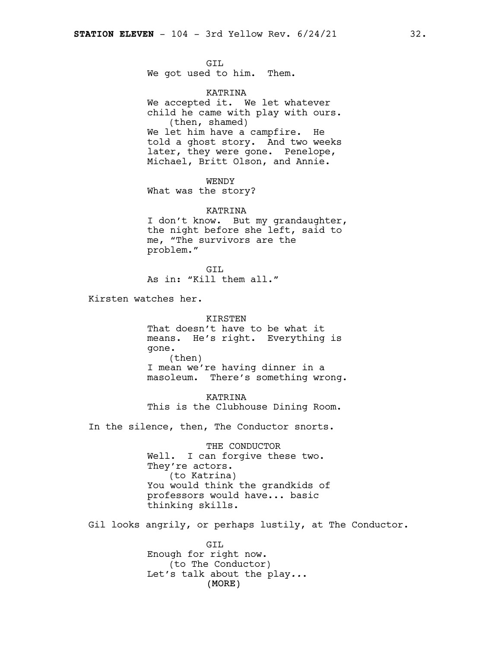GIL We got used to him. Them.

KATRINA We accepted it. We let whatever child he came with play with ours. (then, shamed) We let him have a campfire. He told a ghost story. And two weeks later, they were gone. Penelope, Michael, Britt Olson, and Annie.

WENDY What was the story?

KATRINA I don't know. But my grandaughter, the night before she left, said to me, "The survivors are the problem."

GIL As in: "Kill them all."

Kirsten watches her.

KIRSTEN That doesn't have to be what it means. He's right. Everything is gone. (then) I mean we're having dinner in a masoleum. There's something wrong.

KATRINA This is the Clubhouse Dining Room.

In the silence, then, The Conductor snorts.

THE CONDUCTOR Well. I can forgive these two. They're actors. (to Katrina) You would think the grandkids of professors would have... basic thinking skills.

Gil looks angrily, or perhaps lustily, at The Conductor.

(MORE) GIL Enough for right now. (to The Conductor) Let's talk about the play*..*.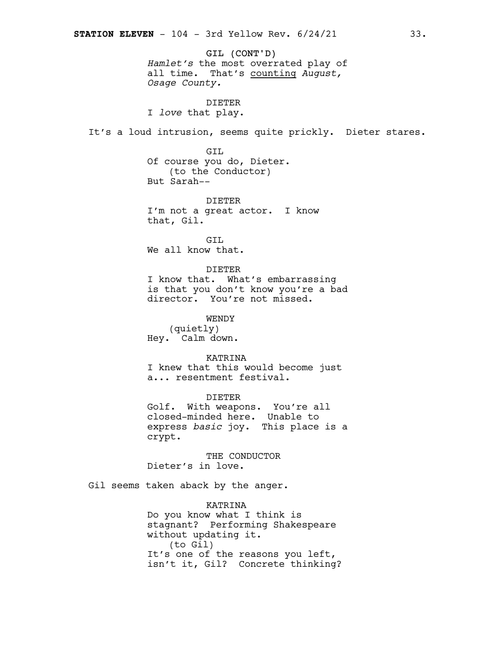GIL (CONT'D) *Hamlet's* the most overrated play of all time. That's counting *August, Osage County.*

DIETER I *love* that play.

It's a loud intrusion, seems quite prickly. Dieter stares.

GIL Of course you do, Dieter. (to the Conductor) But Sarah--

DIETER I'm not a great actor. I know that, Gil.

GIL We all know that.

DIETER

I know that. What's embarrassing is that you don't know you're a bad director. You're not missed.

WENDY (quietly) Hey. Calm down.

KATRINA I knew that this would become just a... resentment festival.

DIETER Golf. With weapons. You're all closed-minded here. Unable to express *basic* joy. This place is a crypt.

THE CONDUCTOR Dieter's in love.

Gil seems taken aback by the anger.

KATRINA Do you know what I think is stagnant? Performing Shakespeare without updating it. (to Gil) It's one of the reasons you left, isn't it, Gil? Concrete thinking?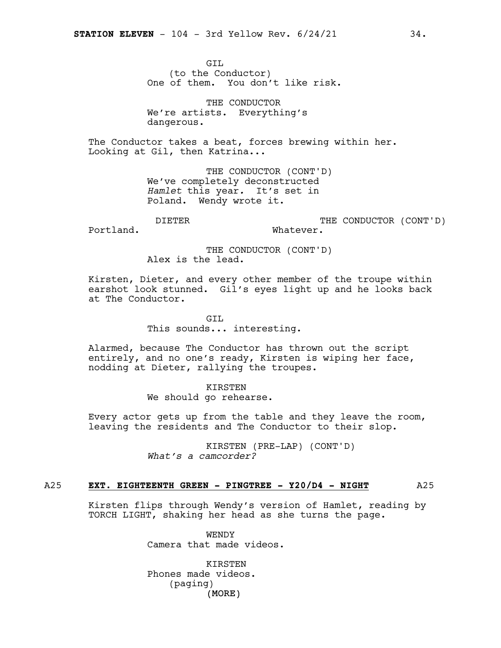GIL (to the Conductor) One of them. You don't like risk.

THE CONDUCTOR We're artists. Everything's dangerous.

The Conductor takes a beat, forces brewing within her. Looking at Gil, then Katrina...

> THE CONDUCTOR (CONT'D) We've completely deconstructed *Hamlet* this year*.* It's set in Poland. Wendy wrote it.

DIETER

THE CONDUCTOR (CONT'D) Whatever.

Portland.

THE CONDUCTOR (CONT'D) Alex is the lead.

Kirsten, Dieter, and every other member of the troupe within earshot look stunned. Gil's eyes light up and he looks back at The Conductor.

GTT.

This sounds... interesting.

Alarmed, because The Conductor has thrown out the script entirely, and no one's ready, Kirsten is wiping her face, nodding at Dieter, rallying the troupes.

#### KIRSTEN

We should go rehearse.

Every actor gets up from the table and they leave the room, leaving the residents and The Conductor to their slop.

> KIRSTEN (PRE-LAP) (CONT'D) *What's a camcorder?*

#### A25 **EXT. EIGHTEENTH GREEN - PINGTREE - Y20/D4 - NIGHT** A25

Kirsten flips through Wendy's version of Hamlet, reading by TORCH LIGHT, shaking her head as she turns the page.

> WENDY Camera that made videos.

(MORE) **KIRSTEN** Phones made videos. (paging)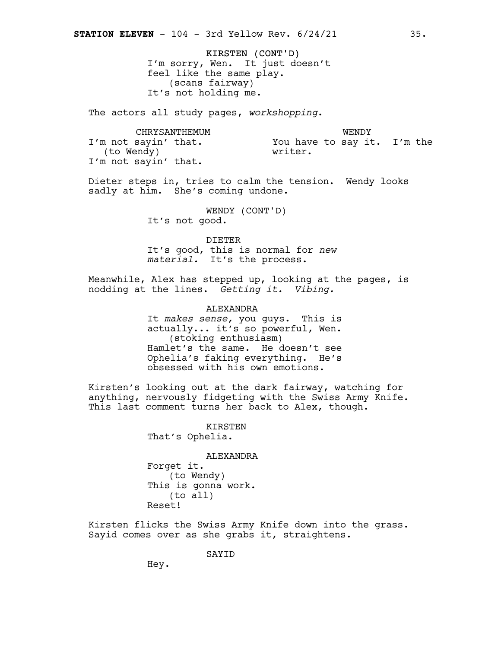KIRSTEN (CONT'D) I'm sorry, Wen. It just doesn't feel like the same play. (scans fairway) It's not holding me.

The actors all study pages, *workshopping*.

CHRYSANTHEMUM I'm not sayin' that. (to Wendy) I'm not sayin' that. WENDY You have to say it. I'm the writer.

Dieter steps in, tries to calm the tension. Wendy looks sadly at him. She's coming undone.

> WENDY (CONT'D) It's not good.

DIETER It's good, this is normal for *new material.* It's the process.

Meanwhile, Alex has stepped up, looking at the pages, is nodding at the lines. *Getting it. Vibing.*

ALEXANDRA

It *makes sense,* you guys. This is actually... it's so powerful, Wen. (stoking enthusiasm) Hamlet's the same. He doesn't see Ophelia's faking everything. He's obsessed with his own emotions.

Kirsten's looking out at the dark fairway, watching for anything, nervously fidgeting with the Swiss Army Knife. This last comment turns her back to Alex, though.

> KIRSTEN That's Ophelia.

ALEXANDRA Forget it. (to Wendy) This is gonna work. (to all) Reset!

Kirsten flicks the Swiss Army Knife down into the grass. Sayid comes over as she grabs it, straightens.

SAYID

Hey.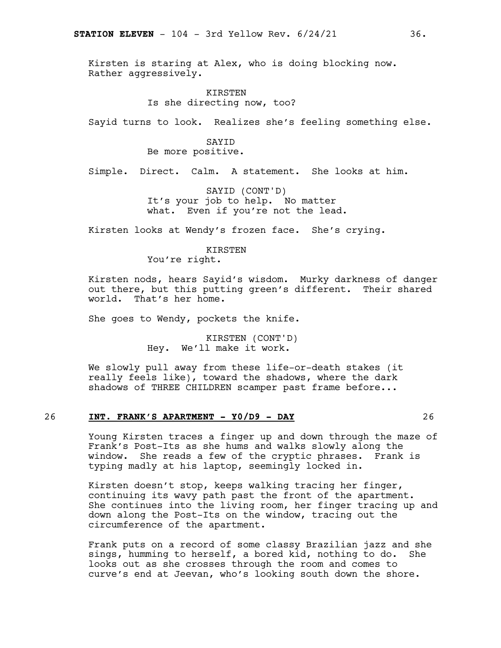Kirsten is staring at Alex, who is doing blocking now. Rather aggressively.

> KIRSTEN Is she directing now, too?

Sayid turns to look. Realizes she's feeling something else.

#### SAYID Be more positive.

Simple. Direct. Calm. A statement. She looks at him.

SAYID (CONT'D) It's your job to help. No matter what. Even if you're not the lead.

Kirsten looks at Wendy's frozen face. She's crying.

# KIRSTEN

You're right.

Kirsten nods, hears Sayid's wisdom. Murky darkness of danger out there, but this putting green's different. Their shared world. That's her home.

She goes to Wendy, pockets the knife.

KIRSTEN (CONT'D) Hey. We'll make it work.

We slowly pull away from these life-or-death stakes (it really feels like), toward the shadows, where the dark shadows of THREE CHILDREN scamper past frame before...

#### 26 **INT. FRANK'S APARTMENT - Y0/D9 - DAY** 26

Young Kirsten traces a finger up and down through the maze of Frank's Post-Its as she hums and walks slowly along the window. She reads a few of the cryptic phrases. Frank is typing madly at his laptop, seemingly locked in.

Kirsten doesn't stop, keeps walking tracing her finger, continuing its wavy path past the front of the apartment. She continues into the living room, her finger tracing up and down along the Post-Its on the window, tracing out the circumference of the apartment.

Frank puts on a record of some classy Brazilian jazz and she sings, humming to herself, a bored kid, nothing to do. She looks out as she crosses through the room and comes to curve's end at Jeevan, who's looking south down the shore.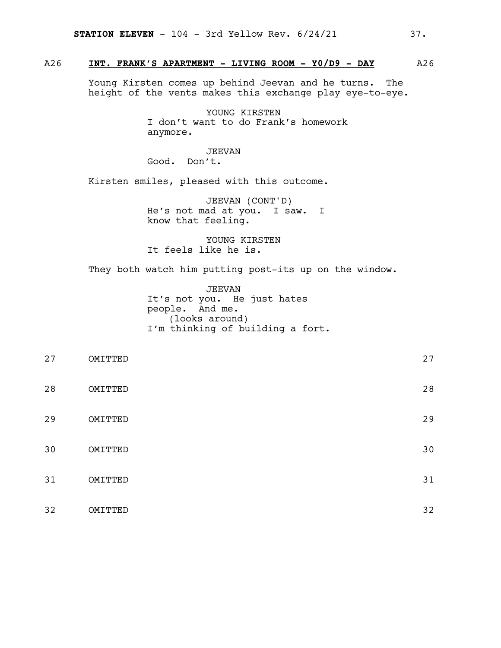### A26 **INT. FRANK'S APARTMENT - LIVING ROOM - Y0/D9 - DAY** A26

Young Kirsten comes up behind Jeevan and he turns. The height of the vents makes this exchange play eye-to-eye.

> YOUNG KIRSTEN I don't want to do Frank's homework anymore.

#### JEEVAN

Good. Don't.

Kirsten smiles, pleased with this outcome.

JEEVAN (CONT'D) He's not mad at you. I saw. I know that feeling.

YOUNG KIRSTEN It feels like he is.

They both watch him putting post-its up on the window.

JEEVAN It's not you. He just hates people. And me. (looks around) I'm thinking of building a fort.

| 27 | OMITTED | 27 |
|----|---------|----|
| 28 | OMITTED | 28 |
| 29 | OMITTED | 29 |
| 30 | OMITTED | 30 |
| 31 | OMITTED | 31 |
| 32 | OMITTED | 32 |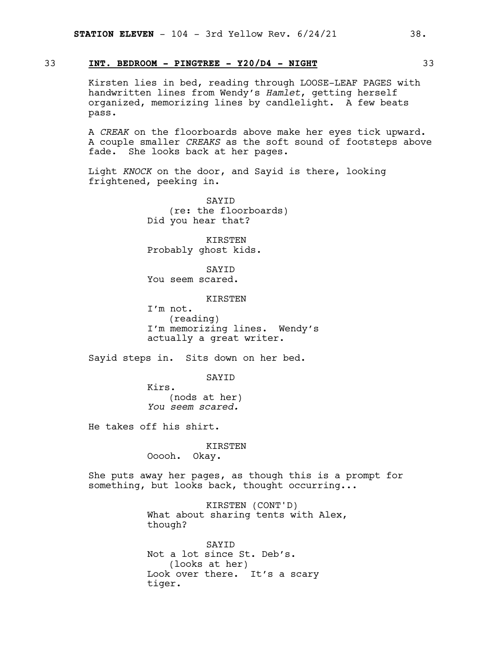#### 33 **INT. BEDROOM - PINGTREE - Y20/D4 - NIGHT** 33

Kirsten lies in bed, reading through LOOSE-LEAF PAGES with handwritten lines from Wendy's *Hamlet*, getting herself organized, memorizing lines by candlelight. A few beats pass.

A *CREAK* on the floorboards above make her eyes tick upward. A couple smaller *CREAKS* as the soft sound of footsteps above fade. She looks back at her pages.

Light *KNOCK* on the door, and Sayid is there, looking frightened, peeking in.

> SAYID (re: the floorboards) Did you hear that?

KIRSTEN Probably ghost kids.

SAYID You seem scared.

**KTRSTEN** 

I'm not. (reading) I'm memorizing lines. Wendy's actually a great writer.

Sayid steps in. Sits down on her bed.

SAYID

Kirs. (nods at her) *You seem scared.*

He takes off his shirt.

KIRSTEN Ooooh. Okay.

She puts away her pages, as though this is a prompt for something, but looks back, thought occurring...

> KIRSTEN (CONT'D) What about sharing tents with Alex, though?

SAYID Not a lot since St. Deb's. (looks at her) Look over there. It's a scary tiger.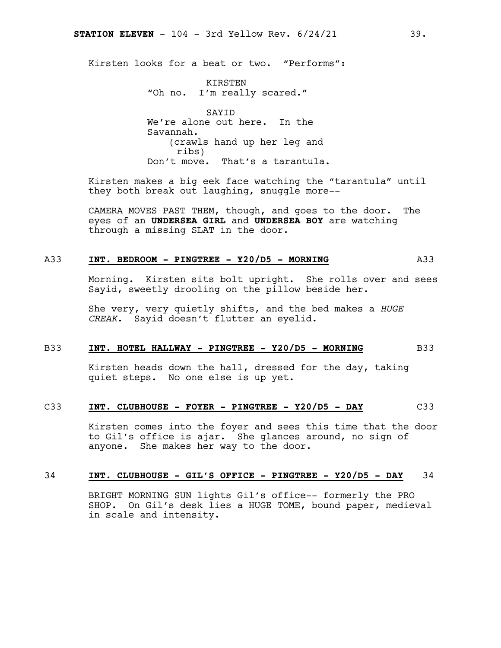Kirsten looks for a beat or two. "Performs":

KIRSTEN "Oh no. I'm really scared."

SAYID We're alone out here. In the Savannah. (crawls hand up her leg and ribs) Don't move. That's a tarantula.

Kirsten makes a big eek face watching the "tarantula" until they both break out laughing, snuggle more--

CAMERA MOVES PAST THEM, though, and goes to the door. The eyes of an **UNDERSEA GIRL** and **UNDERSEA BOY** are watching through a missing SLAT in the door.

#### A33 **INT. BEDROOM - PINGTREE - Y20/D5 - MORNING** A33

Morning. Kirsten sits bolt upright. She rolls over and sees Sayid, sweetly drooling on the pillow beside her.

She very, very quietly shifts, and the bed makes a *HUGE CREAK.* Sayid doesn't flutter an eyelid.

#### B33 **INT. HOTEL HALLWAY - PINGTREE - Y20/D5 - MORNING** B33

Kirsten heads down the hall, dressed for the day, taking quiet steps. No one else is up yet.

### C33 **INT. CLUBHOUSE - FOYER - PINGTREE - Y20/D5 - DAY** C33

Kirsten comes into the foyer and sees this time that the door to Gil's office is ajar. She glances around, no sign of anyone. She makes her way to the door.

#### 34 **INT. CLUBHOUSE - GIL'S OFFICE - PINGTREE - Y20/D5 - DAY** 34

BRIGHT MORNING SUN lights Gil's office-- formerly the PRO SHOP. On Gil's desk lies a HUGE TOME, bound paper, medieval in scale and intensity.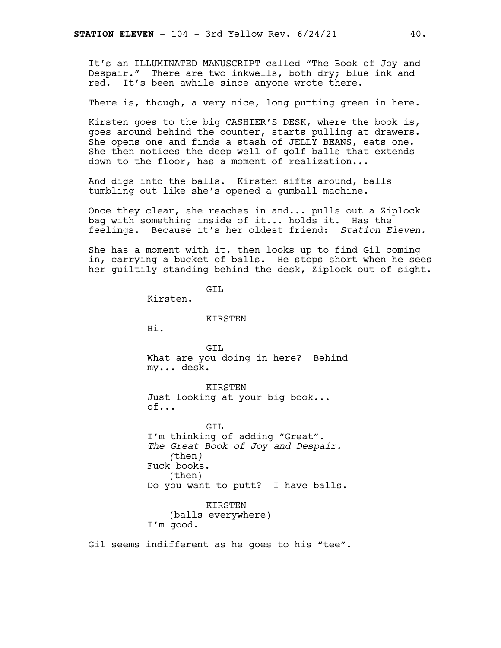It's an ILLUMINATED MANUSCRIPT called "The Book of Joy and Despair." There are two inkwells, both dry; blue ink and red. It's been awhile since anyone wrote there.

There is, though, a very nice, long putting green in here.

Kirsten goes to the big CASHIER'S DESK, where the book is, goes around behind the counter, starts pulling at drawers. She opens one and finds a stash of JELLY BEANS, eats one. She then notices the deep well of golf balls that extends down to the floor, has a moment of realization...

And digs into the balls. Kirsten sifts around, balls tumbling out like she's opened a gumball machine.

Once they clear, she reaches in and... pulls out a Ziplock bag with something inside of it... holds it. Has the feelings. Because it's her oldest friend: *Station Eleven.*

She has a moment with it, then looks up to find Gil coming in, carrying a bucket of balls. He stops short when he sees her guiltily standing behind the desk, Ziplock out of sight.

GIL Kirsten. KIRSTEN Hi. GIL What are you doing in here? Behind my... desk. KIRSTEN Just looking at your big book... of... GIL I'm thinking of adding "Great". *The Great Book of Joy and Despair. (*then*)* Fuck books. (then) Do you want to putt? I have balls. KIRSTEN (balls everywhere) I'm good.

Gil seems indifferent as he goes to his "tee".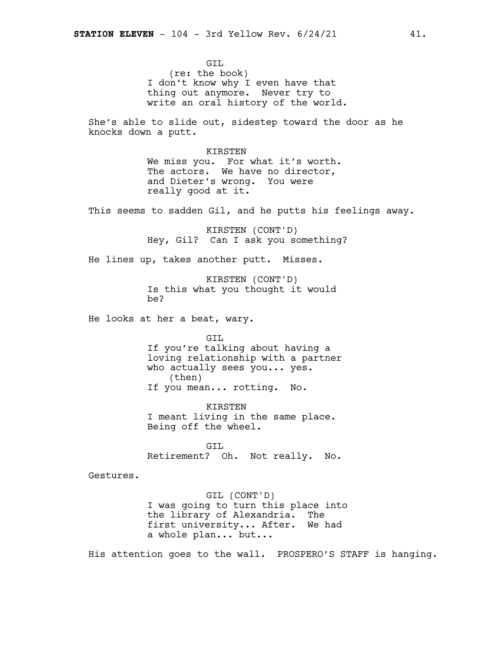GIL (re: the book) I don't know why I even have that thing out anymore. Never try to write an oral history of the world.

She's able to slide out, sidestep toward the door as he knocks down a putt.

> KIRSTEN We miss you. For what it's worth. The actors. We have no director, and Dieter's wrong. You were really good at it.

This seems to sadden Gil, and he putts his feelings away.

KIRSTEN (CONT'D) Hey, Gil? Can I ask you something?

He lines up, takes another putt. Misses.

KIRSTEN (CONT'D) Is this what you thought it would be?

He looks at her a beat, wary.

GIL If you're talking about having a loving relationship with a partner who actually sees you... yes. (then) If you mean... rotting. No.

KIRSTEN I meant living in the same place. Being off the wheel.

GIL Retirement? Oh. Not really. No.

Gestures.

GIL (CONT'D) I was going to turn this place into the library of Alexandria. The first university... After. We had a whole plan... but...

His attention goes to the wall. PROSPERO'S STAFF is hanging.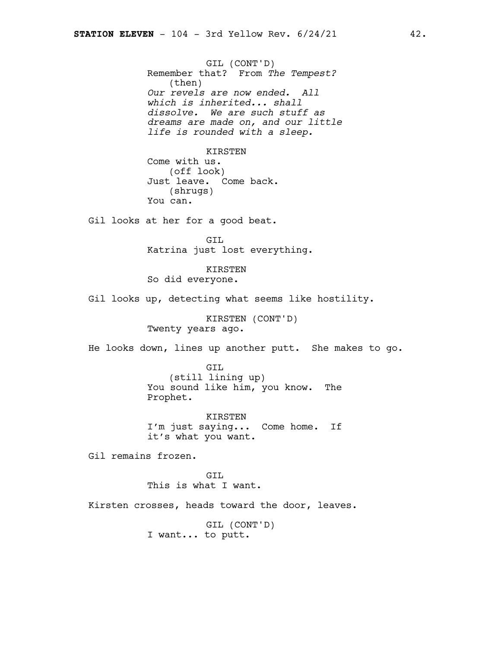GIL (CONT'D) Remember that? From *The Tempest?* (then) *Our revels are now ended. All which is inherited... shall dissolve. We are such stuff as dreams are made on, and our little life is rounded with a sleep.*

#### KIRSTEN

Come with us. (off look) Just leave. Come back. (shrugs) You can.

Gil looks at her for a good beat.

GIL Katrina just lost everything.

KIRSTEN So did everyone.

Gil looks up, detecting what seems like hostility.

KIRSTEN (CONT'D) Twenty years ago.

He looks down, lines up another putt. She makes to go.

GIL (still lining up) You sound like him, you know. The Prophet.

KIRSTEN I'm just saying... Come home. If it's what you want.

Gil remains frozen.

GTT. This is what I want.

Kirsten crosses, heads toward the door, leaves.

GIL (CONT'D) I want... to putt.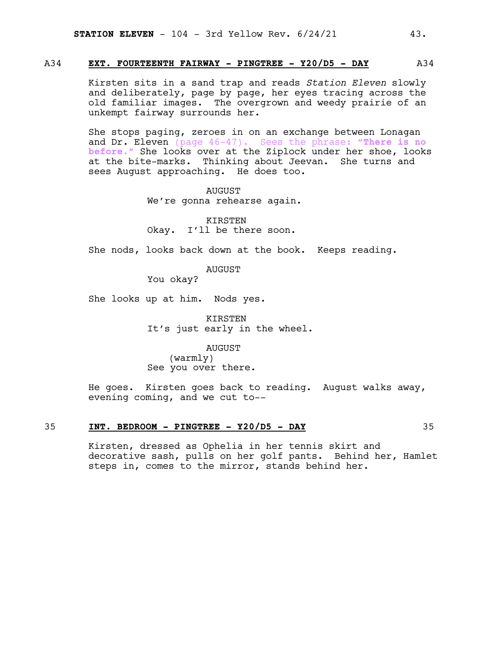#### A34 **EXT. FOURTEENTH FAIRWAY - PINGTREE - Y20/D5 - DAY** A34

Kirsten sits in a sand trap and reads *Station Eleven* slowly and deliberately, page by page, her eyes tracing across the old familiar images. The overgrown and weedy prairie of an unkempt fairway surrounds her.

She stops paging, zeroes in on an exchange between Lonagan and Dr. Eleven (page 46-47). Sees the phrase: **"There is no before."** She looks over at the Ziplock under her shoe, looks at the bite-marks. Thinking about Jeevan. She turns and sees August approaching. He does too.

> AUGUST We're gonna rehearse again.

KIRSTEN Okay. I'll be there soon.

She nods, looks back down at the book. Keeps reading.

AUGUST

You okay?

She looks up at him. Nods yes.

KIRSTEN It's just early in the wheel.

AUGUST (warmly) See you over there.

He goes. Kirsten goes back to reading. August walks away, evening coming, and we cut to--

#### 35 **INT. BEDROOM - PINGTREE - Y20/D5 - DAY** 35

Kirsten, dressed as Ophelia in her tennis skirt and decorative sash, pulls on her golf pants. Behind her, Hamlet steps in, comes to the mirror, stands behind her.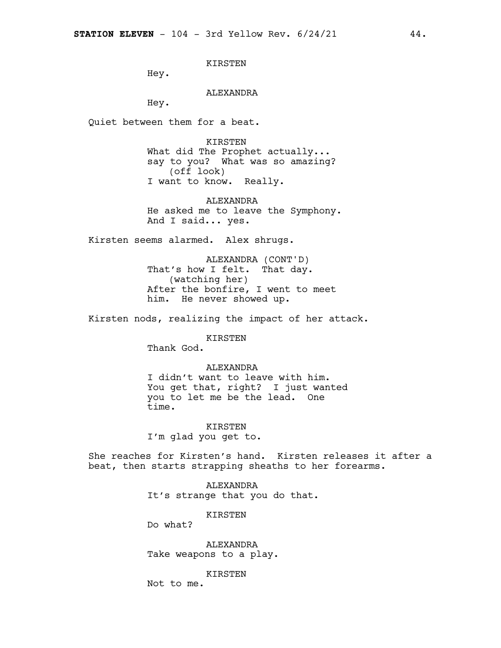KIRSTEN

Hey.

#### ALEXANDRA

Hey.

Quiet between them for a beat.

KIRSTEN What did The Prophet actually... say to you? What was so amazing? (off look) I want to know. Really.

ALEXANDRA He asked me to leave the Symphony. And I said... yes.

Kirsten seems alarmed. Alex shrugs.

ALEXANDRA (CONT'D) That's how I felt. That day. (watching her) After the bonfire, I went to meet him. He never showed up.

Kirsten nods, realizing the impact of her attack.

KIRSTEN

Thank God.

ALEXANDRA I didn't want to leave with him. You get that, right? I just wanted you to let me be the lead. One time.

KIRSTEN I'm glad you get to.

She reaches for Kirsten's hand. Kirsten releases it after a beat, then starts strapping sheaths to her forearms.

> ALEXANDRA It's strange that you do that.

> > KIRSTEN

Do what?

ALEXANDRA Take weapons to a play.

KIRSTEN

Not to me.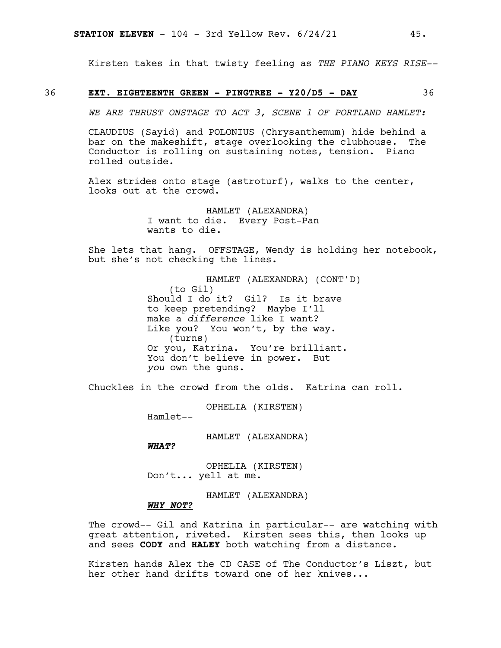Kirsten takes in that twisty feeling as *THE PIANO KEYS RISE--*

#### 36 **EXT. EIGHTEENTH GREEN - PINGTREE - Y20/D5 - DAY** 36

*WE ARE THRUST ONSTAGE TO ACT 3, SCENE 1 OF PORTLAND HAMLET:*

CLAUDIUS (Sayid) and POLONIUS (Chrysanthemum) hide behind a bar on the makeshift, stage overlooking the clubhouse. The Conductor is rolling on sustaining notes, tension. Piano rolled outside.

Alex strides onto stage (astroturf), walks to the center, looks out at the crowd.

> HAMLET (ALEXANDRA) I want to die. Every Post-Pan wants to die.

She lets that hang. OFFSTAGE, Wendy is holding her notebook, but she's not checking the lines.

> HAMLET (ALEXANDRA) (CONT'D) (to Gil) Should I do it? Gil? Is it brave to keep pretending? Maybe I'll make a *difference* like I want? Like you? You won't, by the way. (turns) Or you, Katrina. You're brilliant. You don't believe in power. But *you* own the guns.

Chuckles in the crowd from the olds. Katrina can roll.

OPHELIA (KIRSTEN)

Hamlet--

HAMLET (ALEXANDRA)

*WHAT?*

OPHELIA (KIRSTEN) Don't... yell at me.

HAMLET (ALEXANDRA)

#### *WHY NOT?*

The crowd-- Gil and Katrina in particular-- are watching with great attention, riveted. Kirsten sees this, then looks up and sees **CODY** and **HALEY** both watching from a distance.

Kirsten hands Alex the CD CASE of The Conductor's Liszt, but her other hand drifts toward one of her knives...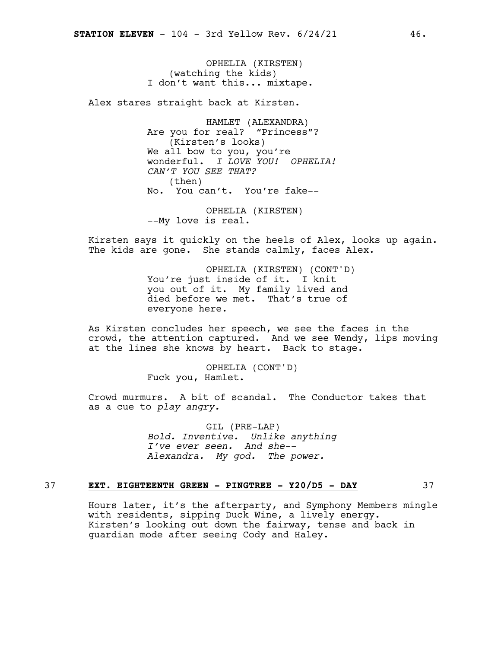OPHELIA (KIRSTEN) (watching the kids) I don't want this... mixtape.

Alex stares straight back at Kirsten.

HAMLET (ALEXANDRA) Are you for real? "Princess"? (Kirsten's looks) We all bow to you, you're wonderful. *I LOVE YOU! OPHELIA! CAN'T YOU SEE THAT?* (then) No. You can't. You're fake--

OPHELIA (KIRSTEN) --My love is real.

Kirsten says it quickly on the heels of Alex, looks up again. The kids are gone. She stands calmly, faces Alex.

> OPHELIA (KIRSTEN) (CONT'D) You're just inside of it. I knit you out of it. My family lived and died before we met. That's true of everyone here.

As Kirsten concludes her speech, we see the faces in the crowd, the attention captured. And we see Wendy, lips moving at the lines she knows by heart. Back to stage.

> OPHELIA (CONT'D) Fuck you, Hamlet.

Crowd murmurs. A bit of scandal. The Conductor takes that as a cue to *play angry.*

> GIL (PRE-LAP) *Bold. Inventive. Unlike anything I've ever seen. And she-- Alexandra. My god. The power.*

### 37 **EXT. EIGHTEENTH GREEN - PINGTREE - Y20/D5 - DAY** 37

Hours later, it's the afterparty, and Symphony Members mingle with residents, sipping Duck Wine, a lively energy. Kirsten's looking out down the fairway, tense and back in guardian mode after seeing Cody and Haley.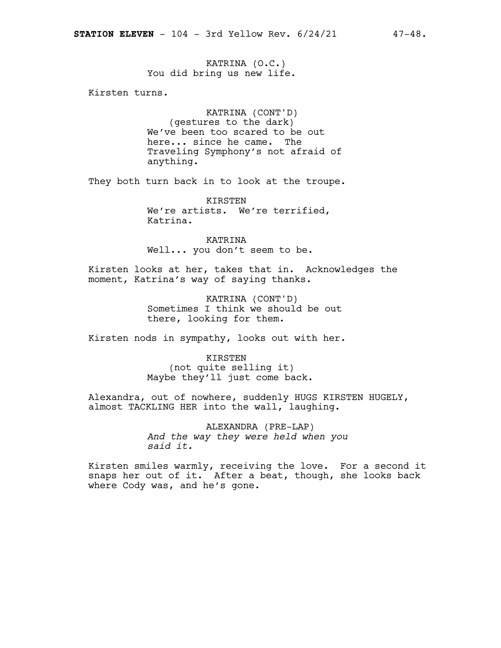KATRINA (O.C.) You did bring us new life.

Kirsten turns.

KATRINA (CONT'D) (gestures to the dark) We've been too scared to be out here... since he came. The Traveling Symphony's not afraid of anything.

They both turn back in to look at the troupe.

KIRSTEN We're artists. We're terrified, Katrina.

KATRINA Well... you don't seem to be.

Kirsten looks at her, takes that in. Acknowledges the moment, Katrina's way of saying thanks.

> KATRINA (CONT'D) Sometimes I think we should be out there, looking for them.

Kirsten nods in sympathy, looks out with her.

KIRSTEN (not quite selling it) Maybe they'll just come back.

Alexandra, out of nowhere, suddenly HUGS KIRSTEN HUGELY, almost TACKLING HER into the wall, laughing.

> ALEXANDRA (PRE-LAP) *And the way they were held when you said it.*

Kirsten smiles warmly, receiving the love. For a second it snaps her out of it. After a beat, though, she looks back where Cody was, and he's gone.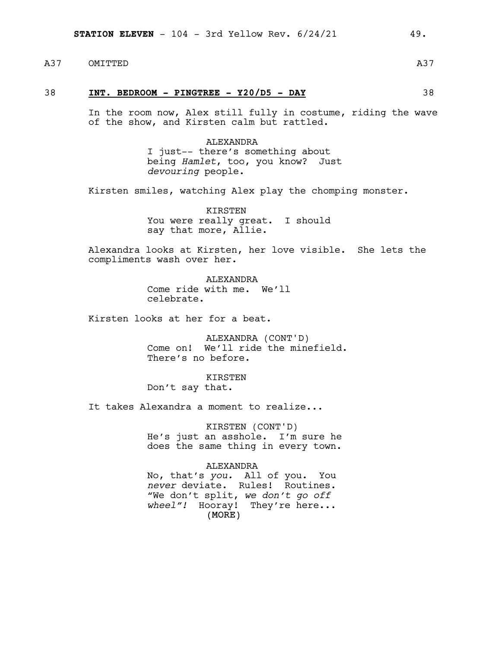A37 OMITTED A37 A37

#### 38 **INT. BEDROOM - PINGTREE - Y20/D5 - DAY** 38

In the room now, Alex still fully in costume, riding the wave of the show, and Kirsten calm but rattled.

> ALEXANDRA I just-- there's something about being *Hamlet*, too, you know? Just *devouring* people.

Kirsten smiles, watching Alex play the chomping monster.

KIRSTEN You were really great. I should say that more, Allie.

Alexandra looks at Kirsten, her love visible. She lets the compliments wash over her.

> ALEXANDRA Come ride with me. We'll celebrate.

Kirsten looks at her for a beat.

ALEXANDRA (CONT'D) Come on! We'll ride the minefield. There's no before.

KIRSTEN Don't say that.

It takes Alexandra a moment to realize...

KIRSTEN (CONT'D) He's just an asshole. I'm sure he does the same thing in every town.

#### ALEXANDRA

(MORE) No, that's *you.* All of you. You *never* deviate. Rules! Routines. "We don't split, *we don't go off wheel"!* Hooray! They're here...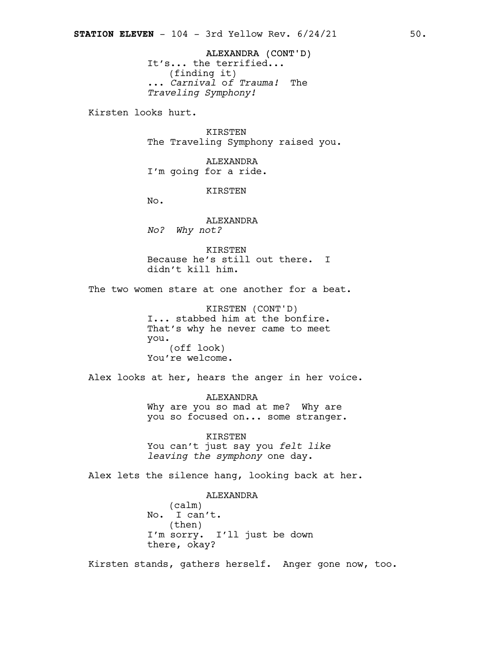ALEXANDRA (CONT'D) It's... the terrified... (finding it) ... *Carnival* o*f Trauma!* The *Traveling Symphony!*

Kirsten looks hurt.

KIRSTEN The Traveling Symphony raised you.

ALEXANDRA I'm going for a ride.

KIRSTEN

No.

ALEXANDRA *No? Why not?*

KIRSTEN Because he's still out there. I didn't kill him.

The two women stare at one another for a beat.

KIRSTEN (CONT'D) I... stabbed him at the bonfire. That's why he never came to meet you. (off look) You're welcome.

Alex looks at her, hears the anger in her voice.

ALEXANDRA Why are you so mad at me? Why are you so focused on... some stranger.

KIRSTEN You can't just say you *felt like leaving the symphony* one day.

Alex lets the silence hang, looking back at her.

ALEXANDRA (calm) No. I can't. (then) I'm sorry. I'll just be down there, okay?

Kirsten stands, gathers herself. Anger gone now, too.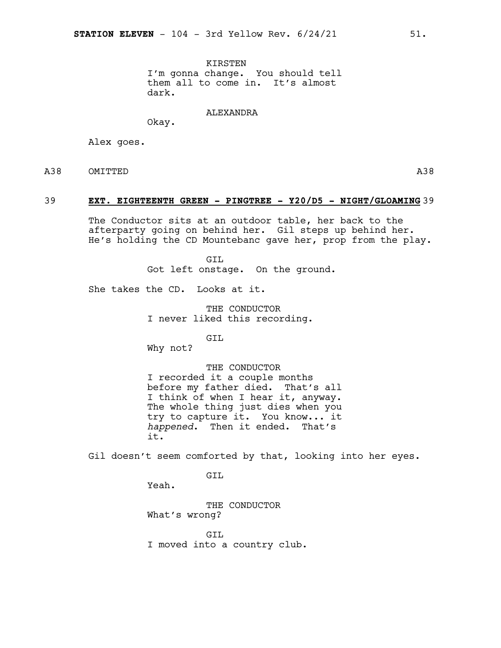KIRSTEN I'm gonna change. You should tell them all to come in. It's almost dark.

ALEXANDRA

Okay.

Alex goes.

A38 OMITTED

#### 39 **EXT. EIGHTEENTH GREEN - PINGTREE - Y20/D5 - NIGHT/GLOAMING** 39

The Conductor sits at an outdoor table, her back to the afterparty going on behind her. Gil steps up behind her. He's holding the CD Mountebanc gave her, prop from the play.

> GTT. Got left onstage. On the ground.

She takes the CD. Looks at it.

THE CONDUCTOR I never liked this recording.

GIL

Why not?

THE CONDUCTOR I recorded it a couple months before my father died. That's all I think of when I hear it, anyway. The whole thing just dies when you try to capture it. You know... it *happened*. Then it ended. That's it.

Gil doesn't seem comforted by that, looking into her eyes.

GTT.

Yeah.

THE CONDUCTOR What's wrong?

GTT. I moved into a country club.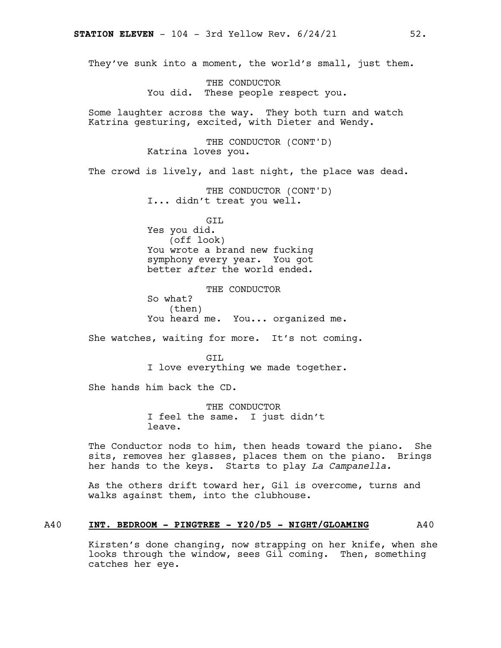They've sunk into a moment, the world's small, just them.

THE CONDUCTOR You did. These people respect you.

Some laughter across the way. They both turn and watch Katrina gesturing, excited, with Dieter and Wendy.

> THE CONDUCTOR (CONT'D) Katrina loves you.

The crowd is lively, and last night, the place was dead.

THE CONDUCTOR (CONT'D) I... didn't treat you well.

GIL Yes you did. (off look) You wrote a brand new fucking symphony every year. You got better *after* the world ended.

THE CONDUCTOR So what? (then) You heard me. You... organized me.

She watches, waiting for more. It's not coming.

GTT. I love everything we made together.

She hands him back the CD.

THE CONDUCTOR I feel the same. I just didn't leave.

The Conductor nods to him, then heads toward the piano. She sits, removes her glasses, places them on the piano. Brings her hands to the keys. Starts to play *La Campanella.*

As the others drift toward her, Gil is overcome, turns and walks against them, into the clubhouse.

### A40 **INT. BEDROOM - PINGTREE - Y20/D5 - NIGHT/GLOAMING** A40

Kirsten's done changing, now strapping on her knife, when she looks through the window, sees Gil coming. Then, something catches her eye.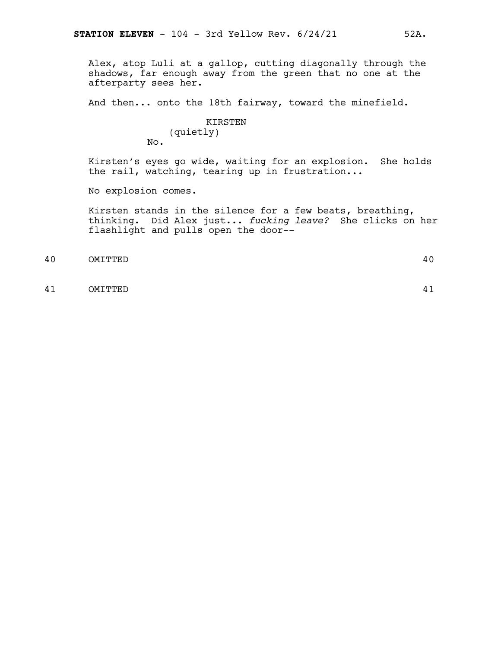Alex, atop Luli at a gallop, cutting diagonally through the shadows, far enough away from the green that no one at the afterparty sees her.

And then... onto the 18th fairway, toward the minefield.

#### KIRSTEN (quietly) No.

Kirsten's eyes go wide, waiting for an explosion. She holds the rail, watching, tearing up in frustration...

No explosion comes.

Kirsten stands in the silence for a few beats, breathing, thinking. Did Alex just... *fucking leave?* She clicks on her flashlight and pulls open the door--

40 OMITTED 40

41 OMITTED 41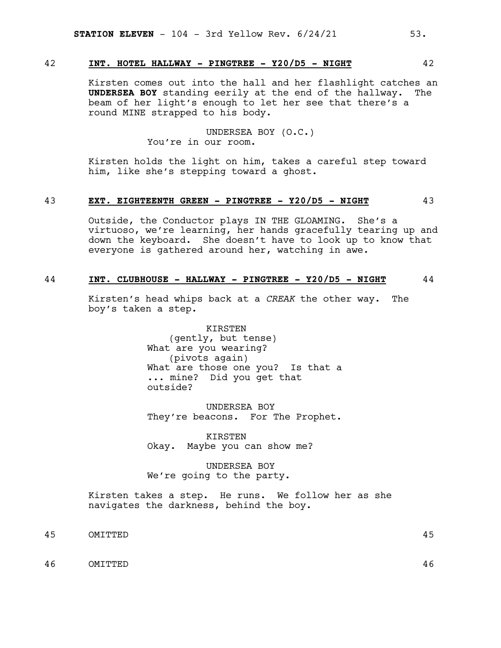# 42 **INT. HOTEL HALLWAY - PINGTREE - Y20/D5 - NIGHT** 42

Kirsten comes out into the hall and her flashlight catches an **UNDERSEA BOY** standing eerily at the end of the hallway. The beam of her light's enough to let her see that there's a round MINE strapped to his body.

> UNDERSEA BOY (O.C.) You're in our room.

Kirsten holds the light on him, takes a careful step toward him, like she's stepping toward a ghost.

#### 43 **EXT. EIGHTEENTH GREEN - PINGTREE - Y20/D5 - NIGHT** 43

Outside, the Conductor plays IN THE GLOAMING. She's a virtuoso, we're learning, her hands gracefully tearing up and down the keyboard. She doesn't have to look up to know that everyone is gathered around her, watching in awe.

#### 44 **INT. CLUBHOUSE - HALLWAY - PINGTREE - Y20/D5 - NIGHT** 44

Kirsten's head whips back at a *CREAK* the other way. The boy's taken a step.

> KIRSTEN (gently, but tense) What are you wearing? (pivots again) What are those one you? Is that a ... mine? Did you get that outside?

> UNDERSEA BOY They're beacons. For The Prophet.

KIRSTEN Okay. Maybe you can show me?

UNDERSEA BOY We're going to the party.

Kirsten takes a step. He runs. We follow her as she navigates the darkness, behind the boy.

45 OMITTED 45

46 OMITTED 46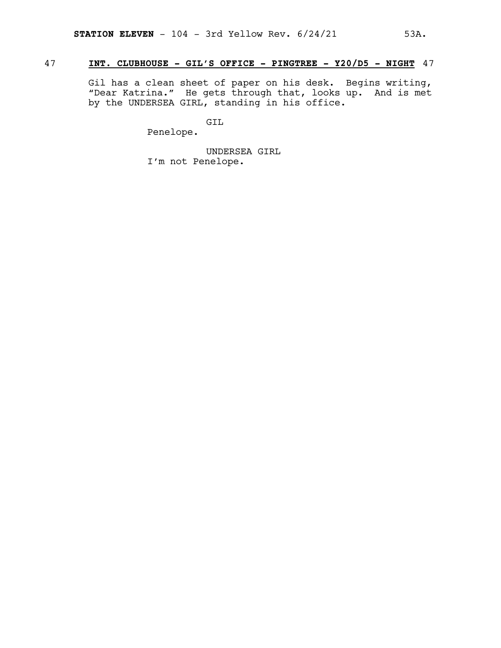# 47 **INT. CLUBHOUSE - GIL'S OFFICE - PINGTREE - Y20/D5 - NIGHT** 47

Gil has a clean sheet of paper on his desk. Begins writing, "Dear Katrina." He gets through that, looks up. And is met by the UNDERSEA GIRL, standing in his office.

GIL

Penelope.

UNDERSEA GIRL I'm not Penelope.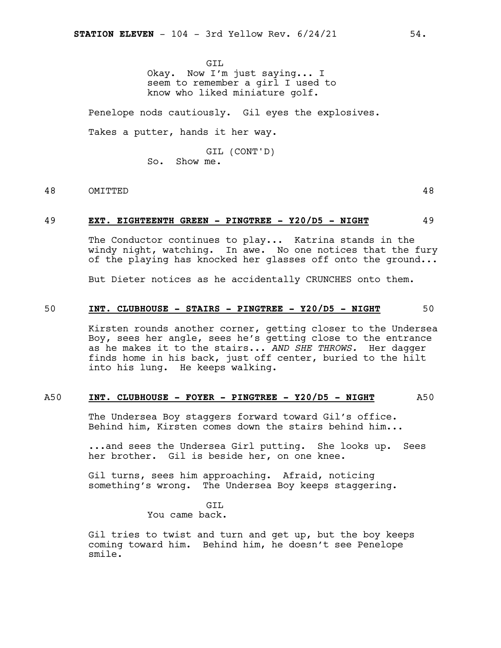GIL Okay. Now I'm just saying... I seem to remember a girl I used to know who liked miniature golf.

Penelope nods cautiously. Gil eyes the explosives.

Takes a putter, hands it her way.

GIL (CONT'D) So. Show me.

# 48 OMITTED 48

#### 49 **EXT. EIGHTEENTH GREEN - PINGTREE - Y20/D5 - NIGHT** 49

The Conductor continues to play... Katrina stands in the windy night, watching. In awe. No one notices that the fury of the playing has knocked her glasses off onto the ground...

But Dieter notices as he accidentally CRUNCHES onto them.

#### 50 **INT. CLUBHOUSE - STAIRS - PINGTREE - Y20/D5 - NIGHT** 50

Kirsten rounds another corner, getting closer to the Undersea Boy, sees her angle, sees he's getting close to the entrance as he makes it to the stairs... *AND SHE THROWS.* Her dagger finds home in his back, just off center, buried to the hilt into his lung. He keeps walking.

#### A50 **INT. CLUBHOUSE - FOYER - PINGTREE - Y20/D5 - NIGHT** A50

The Undersea Boy staggers forward toward Gil's office. Behind him, Kirsten comes down the stairs behind him...

...and sees the Undersea Girl putting. She looks up. Sees her brother. Gil is beside her, on one knee.

Gil turns, sees him approaching. Afraid, noticing something's wrong. The Undersea Boy keeps staggering.

> GIL You came back.

Gil tries to twist and turn and get up, but the boy keeps coming toward him. Behind him, he doesn't see Penelope smile.